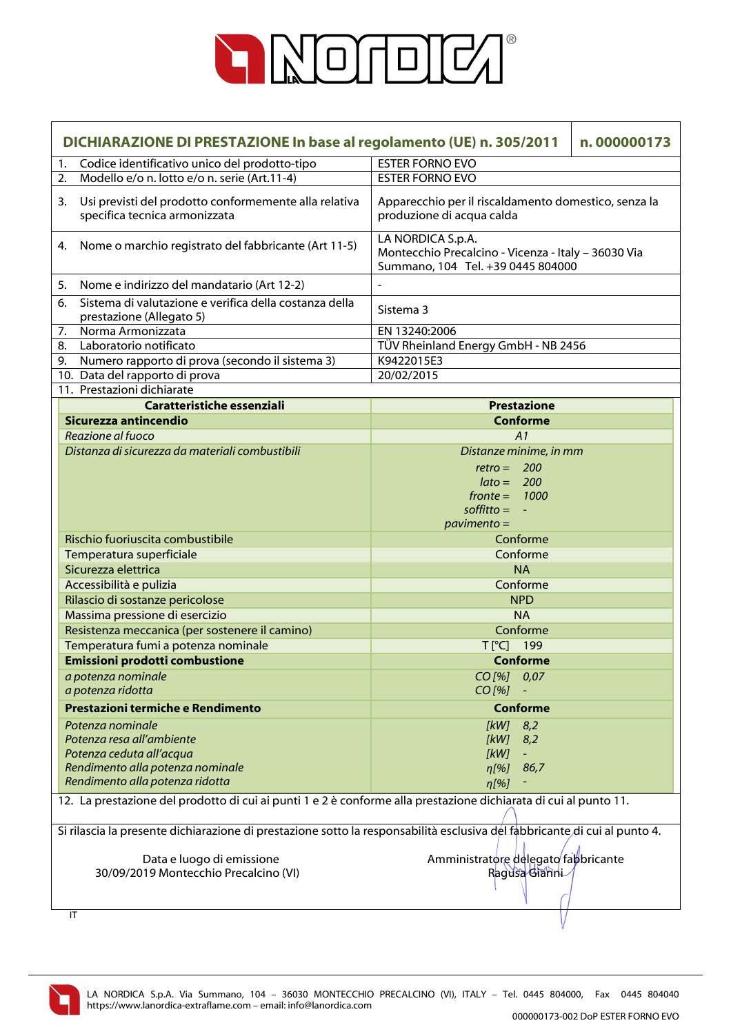

|    | DICHIARAZIONE DI PRESTAZIONE In base al regolamento (UE) n. 305/2011                                                       |                                                                                                               | n.000000173 |
|----|----------------------------------------------------------------------------------------------------------------------------|---------------------------------------------------------------------------------------------------------------|-------------|
| 1. | Codice identificativo unico del prodotto-tipo                                                                              | <b>ESTER FORNO EVO</b>                                                                                        |             |
| 2. | Modello e/o n. lotto e/o n. serie (Art.11-4)                                                                               | <b>ESTER FORNO EVO</b>                                                                                        |             |
| 3. | Usi previsti del prodotto conformemente alla relativa<br>specifica tecnica armonizzata                                     | Apparecchio per il riscaldamento domestico, senza la<br>produzione di acqua calda                             |             |
|    | Nome o marchio registrato del fabbricante (Art 11-5)<br>4.                                                                 | LA NORDICA S.p.A.<br>Montecchio Precalcino - Vicenza - Italy - 36030 Via<br>Summano, 104 Tel. +39 0445 804000 |             |
| 5. | Nome e indirizzo del mandatario (Art 12-2)                                                                                 |                                                                                                               |             |
| 6. | Sistema di valutazione e verifica della costanza della<br>prestazione (Allegato 5)                                         | Sistema 3                                                                                                     |             |
| 7. | Norma Armonizzata                                                                                                          | EN 13240:2006                                                                                                 |             |
| 8. | Laboratorio notificato                                                                                                     | TÜV Rheinland Energy GmbH - NB 2456                                                                           |             |
| 9. | Numero rapporto di prova (secondo il sistema 3)                                                                            | K9422015E3                                                                                                    |             |
|    | 10. Data del rapporto di prova                                                                                             | 20/02/2015                                                                                                    |             |
|    | 11. Prestazioni dichiarate                                                                                                 |                                                                                                               |             |
|    | Caratteristiche essenziali                                                                                                 | <b>Prestazione</b>                                                                                            |             |
|    | Sicurezza antincendio                                                                                                      | <b>Conforme</b>                                                                                               |             |
|    | Reazione al fuoco                                                                                                          | A1                                                                                                            |             |
|    | Distanza di sicurezza da materiali combustibili                                                                            | Distanze minime, in mm                                                                                        |             |
|    |                                                                                                                            | $retro = 200$                                                                                                 |             |
|    |                                                                                                                            | $\text{lato} = 200$                                                                                           |             |
|    |                                                                                                                            | $fronte = 1000$                                                                                               |             |
|    |                                                                                                                            | $\text{soft}$ = $\overline{\phantom{a}}$                                                                      |             |
|    |                                                                                                                            | $pavimento =$                                                                                                 |             |
|    | Rischio fuoriuscita combustibile                                                                                           | Conforme                                                                                                      |             |
|    | Temperatura superficiale                                                                                                   | Conforme                                                                                                      |             |
|    | Sicurezza elettrica                                                                                                        | <b>NA</b>                                                                                                     |             |
|    | Accessibilità e pulizia                                                                                                    | Conforme                                                                                                      |             |
|    | Rilascio di sostanze pericolose                                                                                            | <b>NPD</b>                                                                                                    |             |
|    | Massima pressione di esercizio                                                                                             | <b>NA</b>                                                                                                     |             |
|    | Resistenza meccanica (per sostenere il camino)                                                                             | Conforme                                                                                                      |             |
|    | Temperatura fumi a potenza nominale                                                                                        | T[°C] 199                                                                                                     |             |
|    | <b>Emissioni prodotti combustione</b>                                                                                      | <b>Conforme</b>                                                                                               |             |
|    | a potenza nominale                                                                                                         | CO [%] 0,07                                                                                                   |             |
|    | a potenza ridotta                                                                                                          | $CO$ [%]                                                                                                      |             |
|    | Prestazioni termiche e Rendimento                                                                                          | <b>Conforme</b>                                                                                               |             |
|    | Potenza nominale                                                                                                           | [kW]<br>8,2                                                                                                   |             |
|    | Potenza resa all'ambiente                                                                                                  | [kW]<br>8,2                                                                                                   |             |
|    | Potenza ceduta all'acqua                                                                                                   | [kW]                                                                                                          |             |
|    | Rendimento alla potenza nominale<br>Rendimento alla potenza ridotta                                                        | 86,7<br>$n[\%]$                                                                                               |             |
|    |                                                                                                                            | $\eta$ [%]                                                                                                    |             |
|    | 12. La prestazione del prodotto di cui ai punti 1 e 2 è conforme alla prestazione dichiarata di cui al punto 11.           |                                                                                                               |             |
|    | Si rilascia la presente dichiarazione di prestazione sotto la responsabilità esclusiva del fabbricante di cui al punto 4.  |                                                                                                               |             |
|    | Amministratore delegato fabbricante<br>Data e luogo di emissione<br>30/09/2019 Montecchio Precalcino (VI)<br>Ragusa Gianni |                                                                                                               |             |
|    | IT                                                                                                                         |                                                                                                               |             |

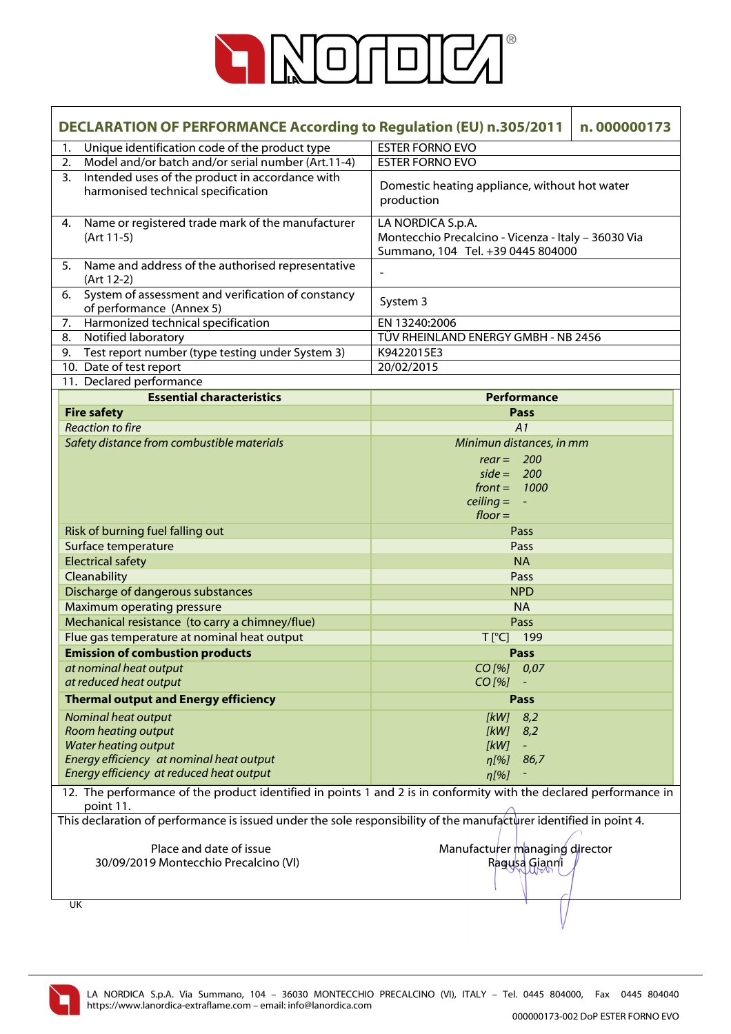

|                                                           | <b>DECLARATION OF PERFORMANCE According to Regulation (EU) n.305/2011</b><br>n.000000173                                       |                                                                                                               |  |
|-----------------------------------------------------------|--------------------------------------------------------------------------------------------------------------------------------|---------------------------------------------------------------------------------------------------------------|--|
| 1.                                                        | Unique identification code of the product type                                                                                 | <b>ESTER FORNO EVO</b>                                                                                        |  |
| 2.                                                        | Model and/or batch and/or serial number (Art.11-4)                                                                             | <b>ESTER FORNO EVO</b>                                                                                        |  |
| 3.                                                        | Intended uses of the product in accordance with<br>harmonised technical specification                                          | Domestic heating appliance, without hot water<br>production                                                   |  |
| 4.                                                        | Name or registered trade mark of the manufacturer<br>(Art 11-5)                                                                | LA NORDICA S.p.A.<br>Montecchio Precalcino - Vicenza - Italy - 36030 Via<br>Summano, 104 Tel. +39 0445 804000 |  |
| 5.                                                        | Name and address of the authorised representative<br>(Art 12-2)                                                                |                                                                                                               |  |
| 6.                                                        | System of assessment and verification of constancy<br>of performance (Annex 5)                                                 | System 3                                                                                                      |  |
| 7.                                                        | Harmonized technical specification                                                                                             | EN 13240:2006                                                                                                 |  |
|                                                           | 8. Notified laboratory                                                                                                         | TÜV RHEINLAND ENERGY GMBH - NB 2456                                                                           |  |
|                                                           | 9. Test report number (type testing under System 3)                                                                            | K9422015E3                                                                                                    |  |
|                                                           | 10. Date of test report                                                                                                        | 20/02/2015                                                                                                    |  |
|                                                           | 11. Declared performance                                                                                                       |                                                                                                               |  |
|                                                           | <b>Essential characteristics</b>                                                                                               | <b>Performance</b>                                                                                            |  |
|                                                           | <b>Fire safety</b>                                                                                                             | Pass                                                                                                          |  |
|                                                           | <b>Reaction to fire</b>                                                                                                        | A1                                                                                                            |  |
|                                                           | Safety distance from combustible materials                                                                                     | Minimun distances, in mm                                                                                      |  |
|                                                           |                                                                                                                                | $rear = 200$<br>$side = 200$                                                                                  |  |
|                                                           |                                                                                                                                | $front = 1000$                                                                                                |  |
|                                                           |                                                                                                                                | $\text{ceiling} = -$                                                                                          |  |
|                                                           |                                                                                                                                | $floor =$                                                                                                     |  |
|                                                           | Risk of burning fuel falling out                                                                                               | Pass                                                                                                          |  |
|                                                           | Surface temperature                                                                                                            | Pass                                                                                                          |  |
|                                                           | <b>Electrical safety</b>                                                                                                       | <b>NA</b>                                                                                                     |  |
|                                                           | Cleanability                                                                                                                   | Pass                                                                                                          |  |
|                                                           | Discharge of dangerous substances                                                                                              | <b>NPD</b>                                                                                                    |  |
|                                                           | Maximum operating pressure                                                                                                     | <b>NA</b>                                                                                                     |  |
|                                                           | Mechanical resistance (to carry a chimney/flue)                                                                                | Pass                                                                                                          |  |
|                                                           | Flue gas temperature at nominal heat output                                                                                    | T[°C] 199                                                                                                     |  |
|                                                           | <b>Emission of combustion products</b>                                                                                         | <b>Pass</b>                                                                                                   |  |
|                                                           | at nominal heat output                                                                                                         | $CO$ [%]<br>0,07                                                                                              |  |
|                                                           | at reduced heat output                                                                                                         | $CO$ [%]                                                                                                      |  |
|                                                           | <b>Thermal output and Energy efficiency</b>                                                                                    | Pass                                                                                                          |  |
|                                                           | Nominal heat output                                                                                                            | 8,2<br>[kW]                                                                                                   |  |
|                                                           | <b>Room heating output</b>                                                                                                     | 8,2<br>[kW]                                                                                                   |  |
|                                                           | <b>Water heating output</b>                                                                                                    | [kW]                                                                                                          |  |
|                                                           | Energy efficiency at nominal heat output                                                                                       | 86,7<br>$\eta$ [%]                                                                                            |  |
|                                                           | Energy efficiency at reduced heat output                                                                                       | $\eta$ [%]                                                                                                    |  |
|                                                           | 12. The performance of the product identified in points 1 and 2 is in conformity with the declared performance in<br>point 11. |                                                                                                               |  |
|                                                           | This declaration of performance is issued under the sole responsibility of the manufacturer identified in point 4.             |                                                                                                               |  |
| Place and date of issue<br>Manufacturer managing director |                                                                                                                                |                                                                                                               |  |
|                                                           | 30/09/2019 Montecchio Precalcino (VI)                                                                                          | Ragusa Gianni                                                                                                 |  |
|                                                           |                                                                                                                                |                                                                                                               |  |
|                                                           | UK                                                                                                                             |                                                                                                               |  |

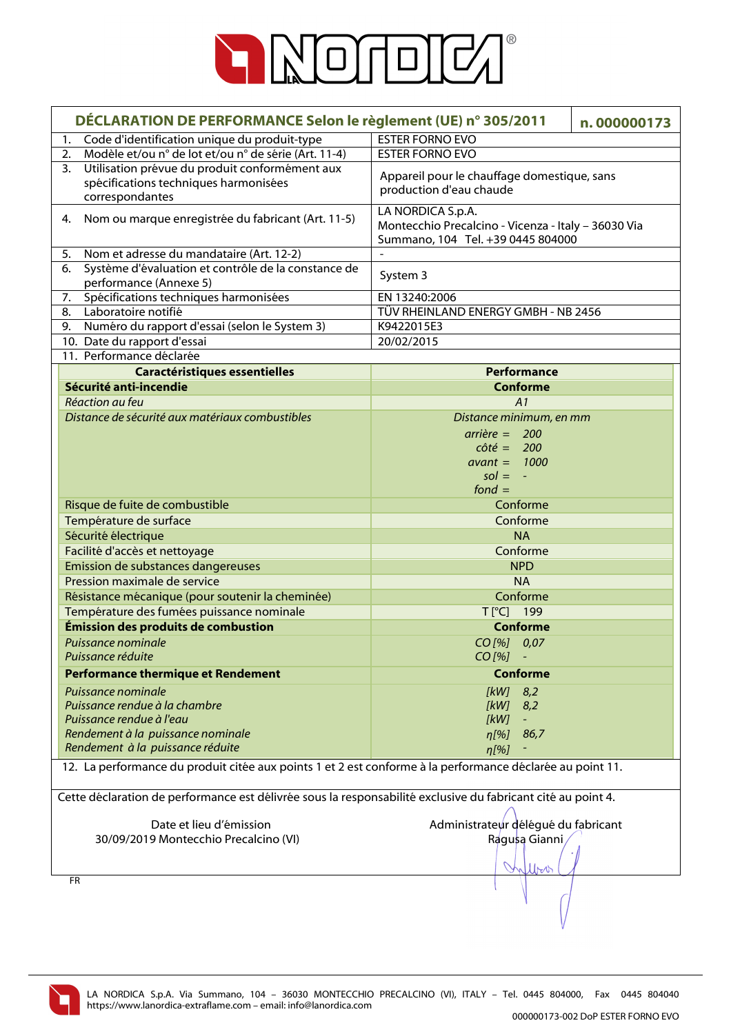

| DÉCLARATION DE PERFORMANCE Selon le règlement (UE) n° 305/2011                                               |                                                                          | n.000000173 |
|--------------------------------------------------------------------------------------------------------------|--------------------------------------------------------------------------|-------------|
| Code d'identification unique du produit-type<br>1.                                                           | <b>ESTER FORNO EVO</b>                                                   |             |
| Modèle et/ou n° de lot et/ou n° de série (Art. 11-4)<br>2.                                                   | <b>ESTER FORNO EVO</b>                                                   |             |
| Utilisation prévue du produit conformément aux<br>3.                                                         |                                                                          |             |
| spécifications techniques harmonisées                                                                        | Appareil pour le chauffage domestique, sans                              |             |
| correspondantes                                                                                              | production d'eau chaude                                                  |             |
| Nom ou marque enregistrée du fabricant (Art. 11-5)<br>4.                                                     | LA NORDICA S.p.A.<br>Montecchio Precalcino - Vicenza - Italy - 36030 Via |             |
|                                                                                                              | Summano, 104 Tel. +39 0445 804000                                        |             |
| Nom et adresse du mandataire (Art. 12-2)<br>5.                                                               | $\blacksquare$                                                           |             |
| Système d'évaluation et contrôle de la constance de<br>6.<br>performance (Annexe 5)                          | System 3                                                                 |             |
| Spécifications techniques harmonisées<br>7.                                                                  | EN 13240:2006                                                            |             |
| Laboratoire notifié<br>8.                                                                                    | TÜV RHEINLAND ENERGY GMBH - NB 2456                                      |             |
| Numéro du rapport d'essai (selon le System 3)<br>9.                                                          | K9422015E3                                                               |             |
| 10. Date du rapport d'essai                                                                                  | 20/02/2015                                                               |             |
| 11. Performance déclarée                                                                                     |                                                                          |             |
| <b>Caractéristiques essentielles</b>                                                                         | <b>Performance</b>                                                       |             |
| Sécurité anti-incendie                                                                                       | <b>Conforme</b>                                                          |             |
| Réaction au feu                                                                                              | A1                                                                       |             |
| Distance de sécurité aux matériaux combustibles                                                              | Distance minimum, en mm                                                  |             |
|                                                                                                              | $arrière = 200$                                                          |             |
|                                                                                                              | $c \hat{o} t \hat{e} = 200$                                              |             |
|                                                                                                              | $avant = 1000$                                                           |             |
|                                                                                                              | $sol = -$                                                                |             |
|                                                                                                              | fond $=$                                                                 |             |
| Risque de fuite de combustible                                                                               | Conforme                                                                 |             |
| Température de surface                                                                                       | Conforme                                                                 |             |
| Sécurité électrique                                                                                          | <b>NA</b>                                                                |             |
| Facilité d'accès et nettoyage                                                                                | Conforme                                                                 |             |
| Emission de substances dangereuses                                                                           | <b>NPD</b>                                                               |             |
| Pression maximale de service                                                                                 | <b>NA</b>                                                                |             |
| Résistance mécanique (pour soutenir la cheminée)                                                             | Conforme                                                                 |             |
| Température des fumées puissance nominale                                                                    | T[°C] 199                                                                |             |
| Émission des produits de combustion                                                                          | <b>Conforme</b>                                                          |             |
| Puissance nominale                                                                                           | CO[%] 0,07                                                               |             |
| Puissance réduite                                                                                            | CO [%]                                                                   |             |
| <b>Performance thermique et Rendement</b>                                                                    | <b>Conforme</b>                                                          |             |
| Puissance nominale                                                                                           | $[kW]$ 8,2                                                               |             |
| Puissance rendue à la chambre                                                                                | [kW]<br>8,2                                                              |             |
| Puissance rendue à l'eau                                                                                     | [kW]<br>$\equiv$                                                         |             |
| Rendement à la puissance nominale                                                                            | 86,7<br>$\eta$ [%]                                                       |             |
| Rendement à la puissance réduite                                                                             | $\eta$ [%]                                                               |             |
| 12. La performance du produit citée aux points 1 et 2 est conforme à la performance déclarée au point 11.    |                                                                          |             |
| Cette déclaration de performance est délivrée sous la responsabilité exclusive du fabricant cité au point 4. |                                                                          |             |
|                                                                                                              |                                                                          |             |
| Date et lieu d'émission<br>30/09/2019 Montecchio Precalcino (VI)                                             | Administrateur délégué du fabricant<br>Ragusa Gianni                     |             |
|                                                                                                              | When                                                                     |             |
| <b>FR</b>                                                                                                    |                                                                          |             |
|                                                                                                              |                                                                          |             |

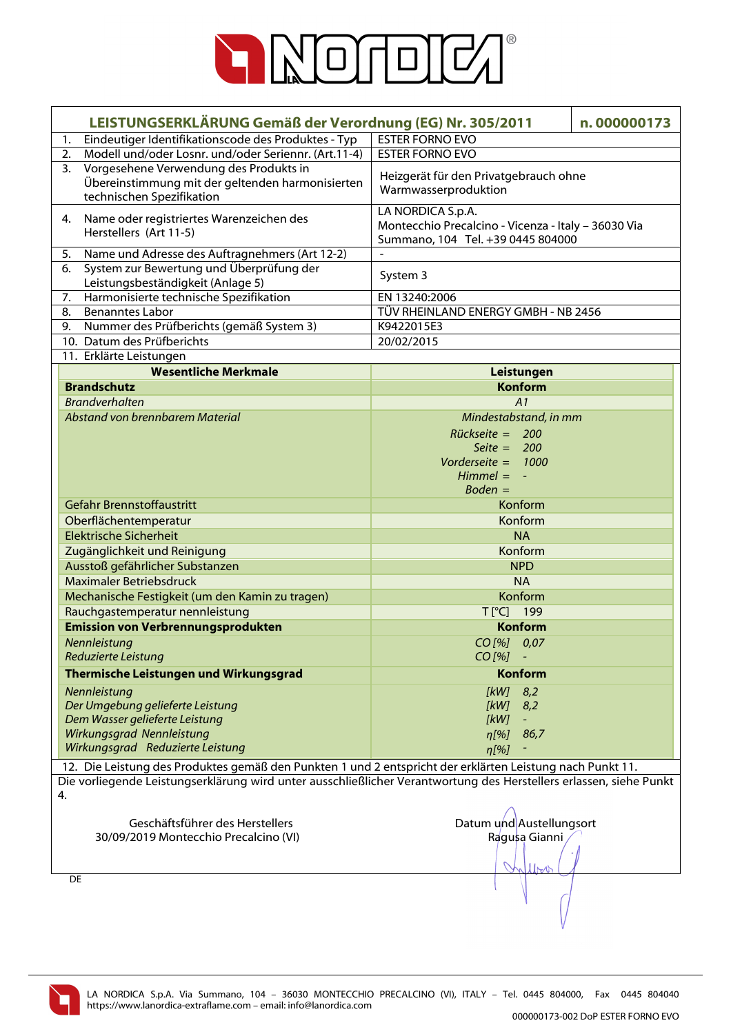

| LEISTUNGSERKLÄRUNG Gemäß der Verordnung (EG) Nr. 305/2011                                                                     |                                                                                                               |                | n.000000173 |
|-------------------------------------------------------------------------------------------------------------------------------|---------------------------------------------------------------------------------------------------------------|----------------|-------------|
| 1.<br>Eindeutiger Identifikationscode des Produktes - Typ                                                                     | <b>ESTER FORNO EVO</b>                                                                                        |                |             |
| Modell und/oder Losnr. und/oder Seriennr. (Art.11-4)<br>2.                                                                    | <b>ESTER FORNO EVO</b>                                                                                        |                |             |
| 3.<br>Vorgesehene Verwendung des Produkts in<br>Übereinstimmung mit der geltenden harmonisierten<br>technischen Spezifikation | Heizgerät für den Privatgebrauch ohne<br>Warmwasserproduktion                                                 |                |             |
| Name oder registriertes Warenzeichen des<br>4.<br>Herstellers (Art 11-5)                                                      | LA NORDICA S.p.A.<br>Montecchio Precalcino - Vicenza - Italy - 36030 Via<br>Summano, 104 Tel. +39 0445 804000 |                |             |
| Name und Adresse des Auftragnehmers (Art 12-2)<br>5.                                                                          |                                                                                                               |                |             |
| System zur Bewertung und Überprüfung der<br>6.<br>Leistungsbeständigkeit (Anlage 5)                                           | System 3                                                                                                      |                |             |
| Harmonisierte technische Spezifikation<br>7.                                                                                  | EN 13240:2006                                                                                                 |                |             |
| 8.<br><b>Benanntes Labor</b>                                                                                                  | TÜV RHEINLAND ENERGY GMBH - NB 2456                                                                           |                |             |
| Nummer des Prüfberichts (gemäß System 3)<br>9.                                                                                | K9422015E3                                                                                                    |                |             |
| 10. Datum des Prüfberichts                                                                                                    | 20/02/2015                                                                                                    |                |             |
| 11. Erklärte Leistungen                                                                                                       |                                                                                                               |                |             |
| <b>Wesentliche Merkmale</b>                                                                                                   |                                                                                                               | Leistungen     |             |
| <b>Brandschutz</b>                                                                                                            |                                                                                                               | <b>Konform</b> |             |
| <b>Brandverhalten</b>                                                                                                         |                                                                                                               | A1             |             |
| Abstand von brennbarem Material                                                                                               | Mindestabstand, in mm                                                                                         |                |             |
|                                                                                                                               | $Rückseite = 200$                                                                                             |                |             |
|                                                                                                                               | Seite $= 200$                                                                                                 |                |             |
|                                                                                                                               | Vorderseite = $1000$                                                                                          |                |             |
|                                                                                                                               | $Himmel = -$                                                                                                  |                |             |
|                                                                                                                               | $Boden =$                                                                                                     |                |             |
| Gefahr Brennstoffaustritt                                                                                                     |                                                                                                               | Konform        |             |
| Oberflächentemperatur                                                                                                         |                                                                                                               | Konform        |             |
| <b>Elektrische Sicherheit</b>                                                                                                 |                                                                                                               | <b>NA</b>      |             |
| Zugänglichkeit und Reinigung                                                                                                  |                                                                                                               | Konform        |             |
| Ausstoß gefährlicher Substanzen                                                                                               |                                                                                                               | <b>NPD</b>     |             |
| Maximaler Betriebsdruck                                                                                                       |                                                                                                               | <b>NA</b>      |             |
| Mechanische Festigkeit (um den Kamin zu tragen)                                                                               |                                                                                                               | Konform        |             |
| Rauchgastemperatur nennleistung                                                                                               | T[°C] 199                                                                                                     |                |             |
| <b>Emission von Verbrennungsprodukten</b>                                                                                     |                                                                                                               | <b>Konform</b> |             |
| Nennleistung                                                                                                                  | CO[%] 0,07                                                                                                    |                |             |
| Reduzierte Leistung                                                                                                           | $CO [%] -$                                                                                                    |                |             |
| Thermische Leistungen und Wirkungsgrad                                                                                        |                                                                                                               | <b>Konform</b> |             |
|                                                                                                                               |                                                                                                               |                |             |
| Nennleistung                                                                                                                  | [kW]                                                                                                          | 8,2            |             |
| Der Umgebung gelieferte Leistung                                                                                              | [kW]                                                                                                          | 8,2            |             |
| Dem Wasser gelieferte Leistung<br>Wirkungsgrad Nennleistung                                                                   | [kW]                                                                                                          | $\equiv$       |             |
| Wirkungsgrad Reduzierte Leistung                                                                                              | $\eta$ [%] 86,7                                                                                               |                |             |
|                                                                                                                               | $\eta$ [%]                                                                                                    |                |             |
| 12. Die Leistung des Produktes gemäß den Punkten 1 und 2 entspricht der erklärten Leistung nach Punkt 11.                     |                                                                                                               |                |             |
| Die vorliegende Leistungserklärung wird unter ausschließlicher Verantwortung des Herstellers erlassen, siehe Punkt<br>4.      |                                                                                                               |                |             |
|                                                                                                                               |                                                                                                               |                |             |
| Geschäftsführer des Herstellers                                                                                               | Datum und Austellungsort                                                                                      |                |             |
| 30/09/2019 Montecchio Precalcino (VI)                                                                                         |                                                                                                               | Ragusa Gianni  |             |
|                                                                                                                               |                                                                                                               |                |             |
| DE                                                                                                                            |                                                                                                               |                |             |
|                                                                                                                               |                                                                                                               |                |             |

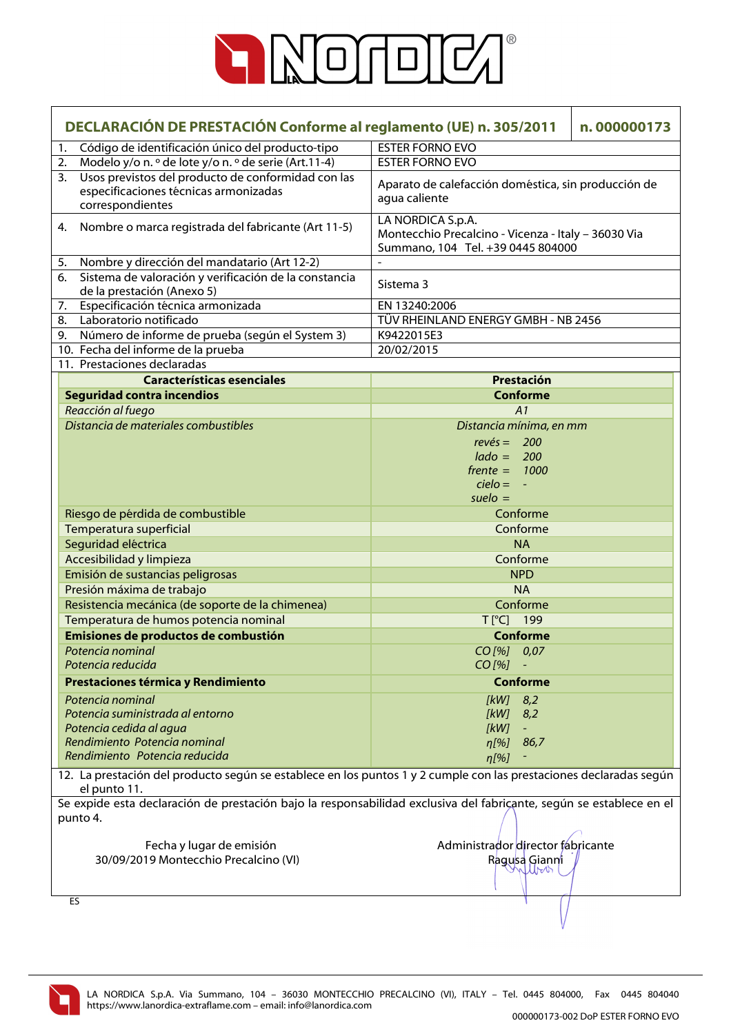

|    | DECLARACIÓN DE PRESTACIÓN Conforme al reglamento (UE) n. 305/2011                                                               |                                                                                                               | n.000000173 |
|----|---------------------------------------------------------------------------------------------------------------------------------|---------------------------------------------------------------------------------------------------------------|-------------|
| 1. | Código de identificación único del producto-tipo                                                                                | <b>ESTER FORNO EVO</b>                                                                                        |             |
| 2. | Modelo y/o n. º de lote y/o n. º de serie (Art.11-4)                                                                            | <b>ESTER FORNO EVO</b>                                                                                        |             |
| 3. | Usos previstos del producto de conformidad con las                                                                              |                                                                                                               |             |
|    | especificaciones técnicas armonizadas                                                                                           | Aparato de calefacción doméstica, sin producción de                                                           |             |
|    | correspondientes                                                                                                                | aqua caliente                                                                                                 |             |
| 4. | Nombre o marca registrada del fabricante (Art 11-5)                                                                             | LA NORDICA S.p.A.<br>Montecchio Precalcino - Vicenza - Italy - 36030 Via<br>Summano, 104 Tel. +39 0445 804000 |             |
| 5. | Nombre y dirección del mandatario (Art 12-2)                                                                                    | $\overline{a}$                                                                                                |             |
| 6. | Sistema de valoración y verificación de la constancia<br>de la prestación (Anexo 5)                                             | Sistema 3                                                                                                     |             |
| 7. | Especificación técnica armonizada                                                                                               | EN 13240:2006                                                                                                 |             |
|    | 8. Laboratorio notificado                                                                                                       | TÜV RHEINLAND ENERGY GMBH - NB 2456                                                                           |             |
|    | 9. Número de informe de prueba (según el System 3)                                                                              | K9422015E3                                                                                                    |             |
|    | 10. Fecha del informe de la prueba                                                                                              | 20/02/2015                                                                                                    |             |
|    | 11. Prestaciones declaradas                                                                                                     |                                                                                                               |             |
|    | <b>Características esenciales</b>                                                                                               | Prestación                                                                                                    |             |
|    | <b>Seguridad contra incendios</b>                                                                                               | <b>Conforme</b>                                                                                               |             |
|    | Reacción al fuego                                                                                                               | A1                                                                                                            |             |
|    | Distancia de materiales combustibles                                                                                            | Distancia mínima, en mm                                                                                       |             |
|    |                                                                                                                                 | $rev\acute{e}s = 200$                                                                                         |             |
|    |                                                                                                                                 | $lado = 200$                                                                                                  |             |
|    |                                                                                                                                 | $f$ rente = 1000                                                                                              |             |
|    |                                                                                                                                 | $cielo = -$                                                                                                   |             |
|    |                                                                                                                                 | $suelo =$                                                                                                     |             |
|    | Riesgo de pérdida de combustible                                                                                                | Conforme                                                                                                      |             |
|    | Temperatura superficial                                                                                                         | Conforme                                                                                                      |             |
|    | Seguridad eléctrica                                                                                                             | <b>NA</b>                                                                                                     |             |
|    | Accesibilidad y limpieza                                                                                                        | Conforme                                                                                                      |             |
|    | Emisión de sustancias peligrosas                                                                                                | <b>NPD</b>                                                                                                    |             |
|    | Presión máxima de trabajo                                                                                                       | <b>NA</b>                                                                                                     |             |
|    | Resistencia mecánica (de soporte de la chimenea)                                                                                | Conforme                                                                                                      |             |
|    | Temperatura de humos potencia nominal                                                                                           | T[°C] 199                                                                                                     |             |
|    | Emisiones de productos de combustión                                                                                            | <b>Conforme</b>                                                                                               |             |
|    | Potencia nominal                                                                                                                | CO[%] 0,07                                                                                                    |             |
|    | Potencia reducida                                                                                                               | $CO [%] -$                                                                                                    |             |
|    | Prestaciones térmica y Rendimiento                                                                                              | <b>Conforme</b>                                                                                               |             |
|    | Potencia nominal                                                                                                                | $[kW]$ 8,2                                                                                                    |             |
|    | Potencia suministrada al entorno                                                                                                | [kW]<br>8,2                                                                                                   |             |
|    | Potencia cedida al agua                                                                                                         | [kW]<br>$\equiv$                                                                                              |             |
|    | Rendimiento Potencia nominal                                                                                                    | $n[%]$ 86,7                                                                                                   |             |
|    | Rendimiento Potencia reducida                                                                                                   | $\eta$ [%]                                                                                                    |             |
|    | 12. La prestación del producto según se establece en los puntos 1 y 2 cumple con las prestaciones declaradas según              |                                                                                                               |             |
|    | el punto 11.                                                                                                                    |                                                                                                               |             |
|    | Se expide esta declaración de prestación bajo la responsabilidad exclusiva del fabriçante, según se establece en el<br>punto 4. |                                                                                                               |             |
|    | Fecha y lugar de emisión                                                                                                        | Administrador director fabricante                                                                             |             |
|    | 30/09/2019 Montecchio Precalcino (VI)                                                                                           | Ragusa Gianni                                                                                                 |             |
|    |                                                                                                                                 |                                                                                                               |             |
|    | ES                                                                                                                              |                                                                                                               |             |

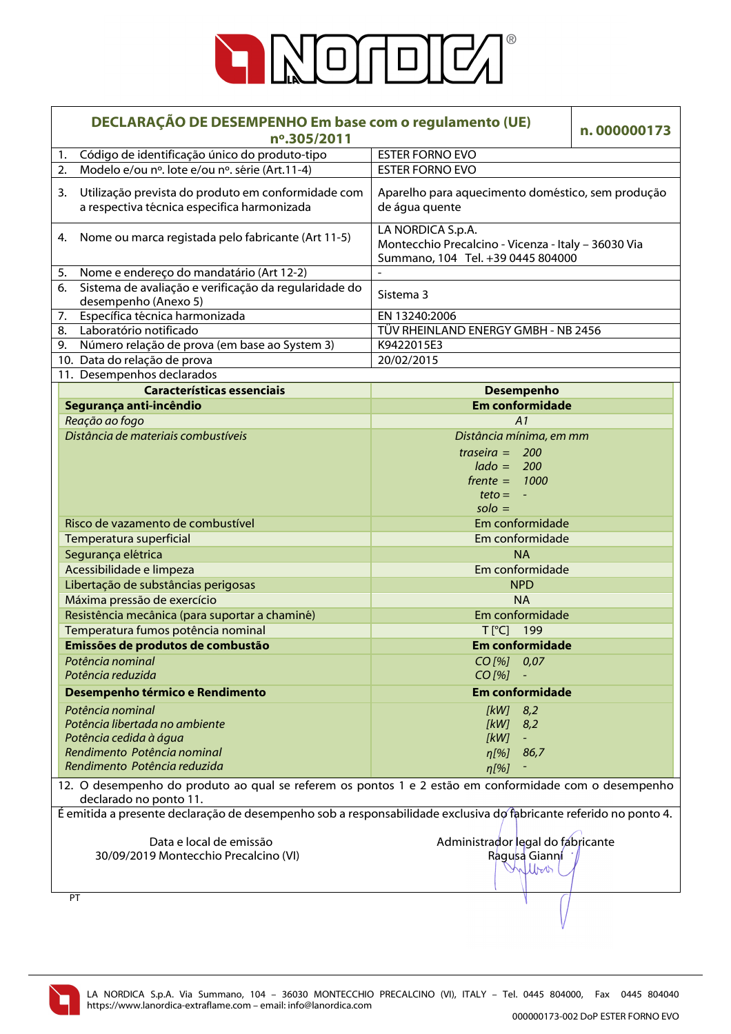

|    | DECLARAÇÃO DE DESEMPENHO Em base com o regulamento (UE)<br>nº.305/2011                                            |                                                                                                               | n.000000173 |
|----|-------------------------------------------------------------------------------------------------------------------|---------------------------------------------------------------------------------------------------------------|-------------|
|    | 1. Código de identificação único do produto-tipo                                                                  | <b>ESTER FORNO EVO</b>                                                                                        |             |
| 2. | Modelo e/ou nº. lote e/ou nº. série (Art.11-4)                                                                    | <b>ESTER FORNO EVO</b>                                                                                        |             |
| 3. | Utilização prevista do produto em conformidade com<br>a respectiva técnica especifica harmonizada                 | Aparelho para aquecimento doméstico, sem produção<br>de água quente                                           |             |
| 4. | Nome ou marca registada pelo fabricante (Art 11-5)                                                                | LA NORDICA S.p.A.<br>Montecchio Precalcino - Vicenza - Italy - 36030 Via<br>Summano, 104 Tel. +39 0445 804000 |             |
| 5. | Nome e endereço do mandatário (Art 12-2)                                                                          | ÷.                                                                                                            |             |
| 6. | Sistema de avaliação e verificação da regularidade do<br>desempenho (Anexo 5)                                     | Sistema 3                                                                                                     |             |
| 7. | Específica técnica harmonizada                                                                                    | EN 13240:2006                                                                                                 |             |
| 8. | Laboratório notificado                                                                                            | TÜV RHEINLAND ENERGY GMBH - NB 2456                                                                           |             |
| 9. | Número relação de prova (em base ao System 3)                                                                     | K9422015E3                                                                                                    |             |
|    | 10. Data do relação de prova                                                                                      | 20/02/2015                                                                                                    |             |
|    | 11. Desempenhos declarados                                                                                        |                                                                                                               |             |
|    | <b>Características essenciais</b>                                                                                 | <b>Desempenho</b>                                                                                             |             |
|    | Segurança anti-incêndio                                                                                           | <b>Em conformidade</b>                                                                                        |             |
|    | Reação ao fogo                                                                                                    | A1                                                                                                            |             |
|    | Distância de materiais combustíveis                                                                               | Distância mínima, em mm                                                                                       |             |
|    |                                                                                                                   | traseira = $200$                                                                                              |             |
|    |                                                                                                                   | $lado = 200$                                                                                                  |             |
|    |                                                                                                                   | $f$ rente = 1000                                                                                              |             |
|    |                                                                                                                   | $teto = -$                                                                                                    |             |
|    |                                                                                                                   | $\mathsf{solo} =$                                                                                             |             |
|    | Risco de vazamento de combustível                                                                                 | Em conformidade                                                                                               |             |
|    | Temperatura superficial                                                                                           | Em conformidade                                                                                               |             |
|    | Segurança elétrica                                                                                                | <b>NA</b>                                                                                                     |             |
|    | Acessibilidade e limpeza                                                                                          | Em conformidade                                                                                               |             |
|    | Libertação de substâncias perigosas                                                                               | <b>NPD</b>                                                                                                    |             |
|    | Máxima pressão de exercício                                                                                       | <b>NA</b>                                                                                                     |             |
|    | Resistência mecânica (para suportar a chaminé)                                                                    | Em conformidade                                                                                               |             |
|    | Temperatura fumos potência nominal                                                                                | T[°C] 199                                                                                                     |             |
|    | Emissões de produtos de combustão                                                                                 | <b>Em conformidade</b>                                                                                        |             |
|    | Potência nominal                                                                                                  | CO [%] 0,07                                                                                                   |             |
|    | Potência reduzida                                                                                                 | $CO$ [%]                                                                                                      |             |
|    | Desempenho térmico e Rendimento                                                                                   | <b>Em conformidade</b>                                                                                        |             |
|    | Potência nominal                                                                                                  | $[kW]$ 8,2                                                                                                    |             |
|    | Potência libertada no ambiente                                                                                    | [kW]<br>8,2                                                                                                   |             |
|    | Potência cedida à água                                                                                            | [kW]<br>$\equiv$                                                                                              |             |
|    | Rendimento Potência nominal                                                                                       | $\eta$ [%] 86,7                                                                                               |             |
|    | Rendimento Potência reduzida                                                                                      | $\eta$ [%]                                                                                                    |             |
|    | 12. O desempenho do produto ao qual se referem os pontos 1 e 2 estão em conformidade com o desempenho             |                                                                                                               |             |
|    | declarado no ponto 11.                                                                                            |                                                                                                               |             |
|    | É emitida a presente declaração de desempenho sob a responsabilidade exclusiva do fabricante referido no ponto 4. |                                                                                                               |             |
|    | Data e local de emissão<br>30/09/2019 Montecchio Precalcino (VI)                                                  | Administrador legal do fábricante<br>Ragusa Gianní<br>Inflict                                                 |             |
|    | PT                                                                                                                |                                                                                                               |             |
|    |                                                                                                                   |                                                                                                               |             |

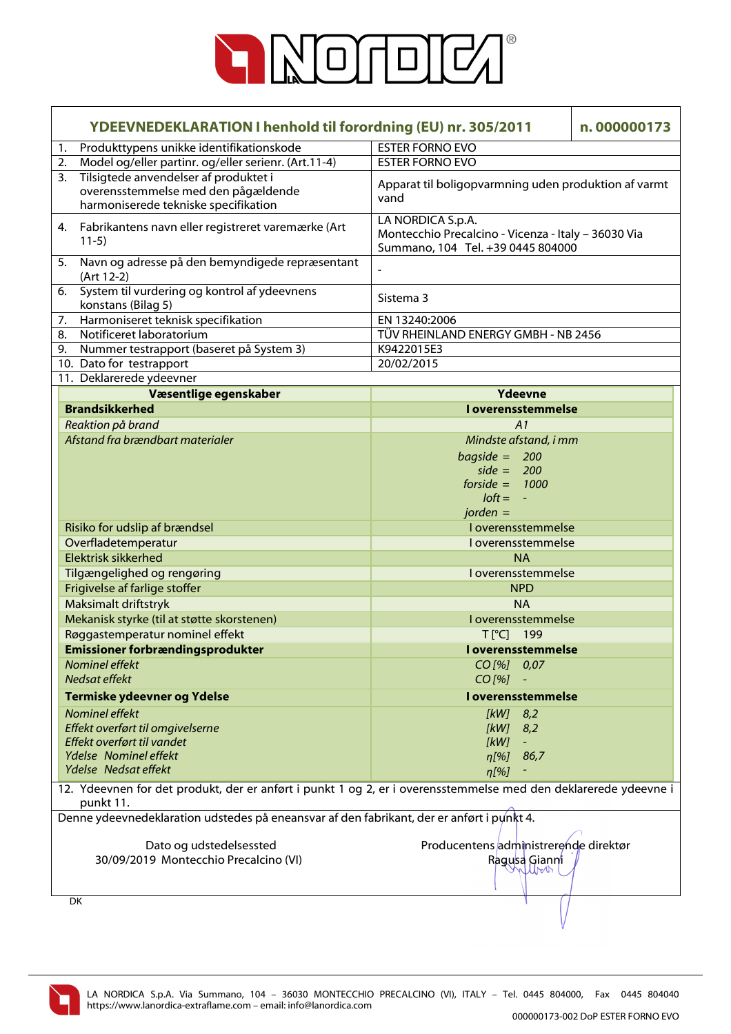

|    | YDEEVNEDEKLARATION I henhold til forordning (EU) nr. 305/2011                                                        |                                                                                                                 |  |
|----|----------------------------------------------------------------------------------------------------------------------|-----------------------------------------------------------------------------------------------------------------|--|
| 1. | Produkttypens unikke identifikationskode                                                                             | <b>ESTER FORNO EVO</b>                                                                                          |  |
| 2. | Model og/eller partinr. og/eller serienr. (Art.11-4)                                                                 | <b>ESTER FORNO EVO</b>                                                                                          |  |
| 3. | Tilsigtede anvendelser af produktet i<br>overensstemmelse med den pågældende<br>harmoniserede tekniske specifikation | Apparat til boligopvarmning uden produktion af varmt<br>vand                                                    |  |
| 4. | Fabrikantens navn eller registreret varemærke (Art<br>$11-5)$                                                        | LA NORDICA S.p.A.<br>Montecchio Precalcino - Vicenza - Italy - 36030 Via<br>Summano, 104 Tel. +39 0445 804000   |  |
| 5. | Navn og adresse på den bemyndigede repræsentant<br>(Art 12-2)                                                        |                                                                                                                 |  |
| 6. | System til vurdering og kontrol af ydeevnens<br>konstans (Bilag 5)                                                   | Sistema 3                                                                                                       |  |
| 7. | Harmoniseret teknisk specifikation                                                                                   | EN 13240:2006                                                                                                   |  |
| 8. | Notificeret laboratorium                                                                                             | TÜV RHEINLAND ENERGY GMBH - NB 2456                                                                             |  |
| 9. | Nummer testrapport (baseret på System 3)                                                                             | K9422015E3                                                                                                      |  |
|    | 10. Dato for testrapport                                                                                             | 20/02/2015                                                                                                      |  |
|    | 11. Deklarerede ydeevner                                                                                             |                                                                                                                 |  |
|    | Væsentlige egenskaber                                                                                                | Ydeevne                                                                                                         |  |
|    | <b>Brandsikkerhed</b>                                                                                                | <b>Loverensstemmelse</b>                                                                                        |  |
|    | Reaktion på brand                                                                                                    | A1                                                                                                              |  |
|    | Afstand fra brændbart materialer                                                                                     | Mindste afstand, i mm                                                                                           |  |
|    |                                                                                                                      | $bagside = 200$                                                                                                 |  |
|    |                                                                                                                      | side = $200$                                                                                                    |  |
|    |                                                                                                                      | forside = $1000$                                                                                                |  |
|    |                                                                                                                      | $I \circ f t = -$                                                                                               |  |
|    |                                                                                                                      | $jorden =$                                                                                                      |  |
|    | Risiko for udslip af brændsel                                                                                        | I overensstemmelse                                                                                              |  |
|    | Overfladetemperatur                                                                                                  | I overensstemmelse                                                                                              |  |
|    | <b>Elektrisk sikkerhed</b>                                                                                           | <b>NA</b>                                                                                                       |  |
|    | Tilgængelighed og rengøring                                                                                          | I overensstemmelse                                                                                              |  |
|    | Frigivelse af farlige stoffer                                                                                        | <b>NPD</b>                                                                                                      |  |
|    | Maksimalt driftstryk                                                                                                 | <b>NA</b>                                                                                                       |  |
|    | Mekanisk styrke (til at støtte skorstenen)                                                                           | I overensstemmelse                                                                                              |  |
|    | Røggastemperatur nominel effekt                                                                                      | T[°C] 199                                                                                                       |  |
|    | <b>Emissioner forbrændingsprodukter</b>                                                                              | <b>Loverensstemmelse</b>                                                                                        |  |
|    | Nominel effekt                                                                                                       | $CO$ [%]<br>0,07                                                                                                |  |
|    | Nedsat effekt                                                                                                        | $CO$ [%]                                                                                                        |  |
|    | Termiske ydeevner og Ydelse                                                                                          | I overensstemmelse                                                                                              |  |
|    | Nominel effekt                                                                                                       | 8,2<br>[kW]                                                                                                     |  |
|    | Effekt overført til omgivelserne                                                                                     | 8,2<br>[kW]                                                                                                     |  |
|    | Effekt overført til vandet                                                                                           | [kW]                                                                                                            |  |
|    | Ydelse Nominel effekt                                                                                                | $n[\%]$<br>86,7                                                                                                 |  |
|    | Ydelse Nedsat effekt                                                                                                 | $\eta$ [%]                                                                                                      |  |
|    |                                                                                                                      | 12. Ydeevnen for det produkt, der er anført i punkt 1 og 2, er i overensstemmelse med den deklarerede ydeevne i |  |
|    | punkt 11.                                                                                                            |                                                                                                                 |  |
|    | Denne ydeevnedeklaration udstedes på eneansvar af den fabrikant, der er anført i punkt 4.                            |                                                                                                                 |  |
|    | Dato og udstedelsessted<br>30/09/2019 Montecchio Precalcino (VI)                                                     | Producentens administrerende direktør<br>Ragusa Gianni                                                          |  |
|    | <b>DK</b>                                                                                                            |                                                                                                                 |  |
|    |                                                                                                                      |                                                                                                                 |  |

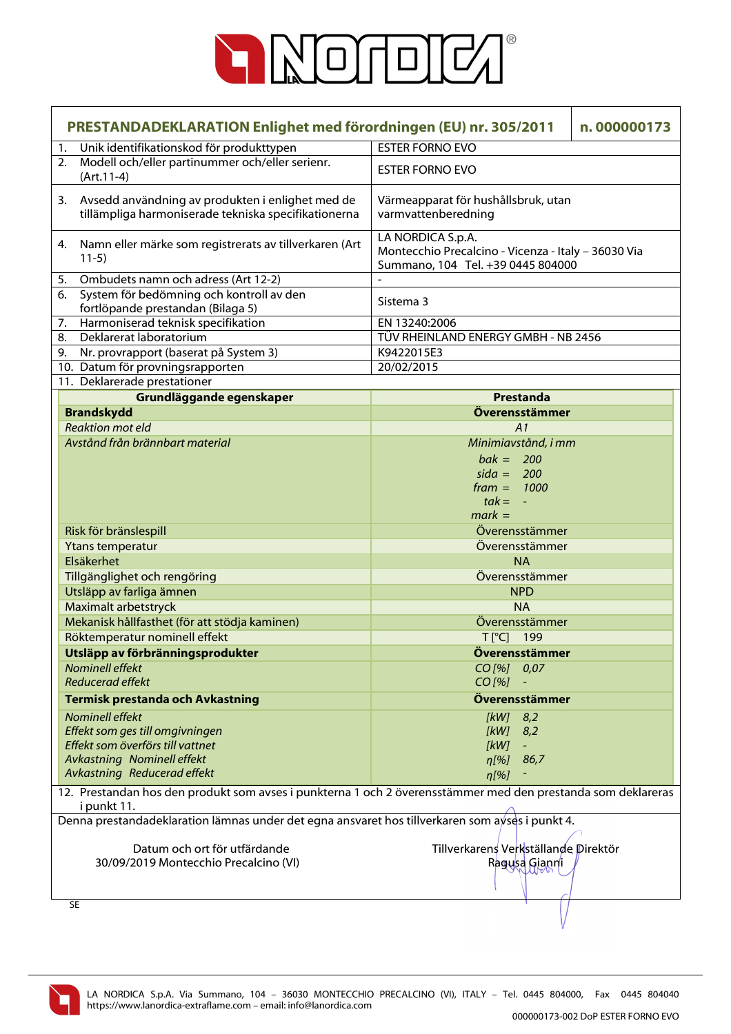

| Unik identifikationskod för produkttypen<br><b>ESTER FORNO EVO</b><br>1.<br>Modell och/eller partinummer och/eller serienr.<br>2.<br><b>ESTER FORNO EVO</b><br>$(Art.11-4)$<br>Avsedd användning av produkten i enlighet med de<br>Värmeapparat för hushållsbruk, utan<br>3.<br>tillämpliga harmoniserade tekniska specifikationerna<br>varmvattenberedning<br>LA NORDICA S.p.A.<br>Namn eller märke som registrerats av tillverkaren (Art<br>4.<br>Montecchio Precalcino - Vicenza - Italy - 36030 Via<br>$11-5)$<br>Summano, 104 Tel. +39 0445 804000<br>Ombudets namn och adress (Art 12-2)<br>5.<br>System för bedömning och kontroll av den<br>6.<br>Sistema 3<br>fortlöpande prestandan (Bilaga 5)<br>Harmoniserad teknisk specifikation<br>7.<br>EN 13240:2006<br>Deklarerat laboratorium<br>TÜV RHEINLAND ENERGY GMBH - NB 2456<br>8.<br>Nr. provrapport (baserat på System 3)<br>K9422015E3<br>9.<br>10. Datum för provningsrapporten<br>20/02/2015<br>11. Deklarerade prestationer<br>Grundläggande egenskaper<br>Prestanda<br><b>Brandskydd</b><br>Överensstämmer<br><b>Reaktion mot eld</b><br>A1<br>Avstånd från brännbart material<br>Minimiavstånd, i mm<br>$bak = 200$<br>$sida = 200$<br>$frame = 1000$<br>$tak = -$<br>$mark =$<br>Överensstämmer<br>Risk för bränslespill<br>Ytans temperatur<br>Överensstämmer<br>Elsäkerhet<br><b>NA</b><br>Tillgänglighet och rengöring<br>Överensstämmer<br>Utsläpp av farliga ämnen<br><b>NPD</b><br>Maximalt arbetstryck<br><b>NA</b><br>Mekanisk hållfasthet (för att stödja kaminen)<br>Överensstämmer<br>Röktemperatur nominell effekt<br>$T[^{\circ}C]$<br>199<br>Utsläpp av förbränningsprodukter<br>Överensstämmer<br><b>Nominell effekt</b><br>$CO$ [%] $0.07$<br><b>Reducerad effekt</b><br>$CO$ [%]<br>Överensstämmer<br><b>Termisk prestanda och Avkastning</b><br><b>Nominell effekt</b><br>[kW]<br>8,2<br>Effekt som ges till omgivningen<br>[kW]<br>8,2<br>Effekt som överförs till vattnet<br>[kW]<br><b>Avkastning Nominell effekt</b><br>86,7<br>$\eta$ [%]<br>Avkastning Reducerad effekt<br>$\eta$ [%]<br>12. Prestandan hos den produkt som avses i punkterna 1 och 2 överensstämmer med den prestanda som deklareras<br>i punkt 11.<br>Denna prestandadeklaration lämnas under det egna ansvaret hos tillverkaren som avses i punkt 4.<br>Tillverkarens Verkställande Direktör<br>Datum och ort för utfärdande<br>30/09/2019 Montecchio Precalcino (VI)<br>Ragusa Gianni<br>SE | PRESTANDADEKLARATION Enlighet med förordningen (EU) nr. 305/2011 | n.000000173 |
|-------------------------------------------------------------------------------------------------------------------------------------------------------------------------------------------------------------------------------------------------------------------------------------------------------------------------------------------------------------------------------------------------------------------------------------------------------------------------------------------------------------------------------------------------------------------------------------------------------------------------------------------------------------------------------------------------------------------------------------------------------------------------------------------------------------------------------------------------------------------------------------------------------------------------------------------------------------------------------------------------------------------------------------------------------------------------------------------------------------------------------------------------------------------------------------------------------------------------------------------------------------------------------------------------------------------------------------------------------------------------------------------------------------------------------------------------------------------------------------------------------------------------------------------------------------------------------------------------------------------------------------------------------------------------------------------------------------------------------------------------------------------------------------------------------------------------------------------------------------------------------------------------------------------------------------------------------------------------------------------------------------------------------------------------------------------------------------------------------------------------------------------------------------------------------------------------------------------------------------------------------------------------------------------------------------------------------------------------------------------------------------------------------------------------------------------------------------|------------------------------------------------------------------|-------------|
|                                                                                                                                                                                                                                                                                                                                                                                                                                                                                                                                                                                                                                                                                                                                                                                                                                                                                                                                                                                                                                                                                                                                                                                                                                                                                                                                                                                                                                                                                                                                                                                                                                                                                                                                                                                                                                                                                                                                                                                                                                                                                                                                                                                                                                                                                                                                                                                                                                                             |                                                                  |             |
|                                                                                                                                                                                                                                                                                                                                                                                                                                                                                                                                                                                                                                                                                                                                                                                                                                                                                                                                                                                                                                                                                                                                                                                                                                                                                                                                                                                                                                                                                                                                                                                                                                                                                                                                                                                                                                                                                                                                                                                                                                                                                                                                                                                                                                                                                                                                                                                                                                                             |                                                                  |             |
|                                                                                                                                                                                                                                                                                                                                                                                                                                                                                                                                                                                                                                                                                                                                                                                                                                                                                                                                                                                                                                                                                                                                                                                                                                                                                                                                                                                                                                                                                                                                                                                                                                                                                                                                                                                                                                                                                                                                                                                                                                                                                                                                                                                                                                                                                                                                                                                                                                                             |                                                                  |             |
|                                                                                                                                                                                                                                                                                                                                                                                                                                                                                                                                                                                                                                                                                                                                                                                                                                                                                                                                                                                                                                                                                                                                                                                                                                                                                                                                                                                                                                                                                                                                                                                                                                                                                                                                                                                                                                                                                                                                                                                                                                                                                                                                                                                                                                                                                                                                                                                                                                                             |                                                                  |             |
|                                                                                                                                                                                                                                                                                                                                                                                                                                                                                                                                                                                                                                                                                                                                                                                                                                                                                                                                                                                                                                                                                                                                                                                                                                                                                                                                                                                                                                                                                                                                                                                                                                                                                                                                                                                                                                                                                                                                                                                                                                                                                                                                                                                                                                                                                                                                                                                                                                                             |                                                                  |             |
|                                                                                                                                                                                                                                                                                                                                                                                                                                                                                                                                                                                                                                                                                                                                                                                                                                                                                                                                                                                                                                                                                                                                                                                                                                                                                                                                                                                                                                                                                                                                                                                                                                                                                                                                                                                                                                                                                                                                                                                                                                                                                                                                                                                                                                                                                                                                                                                                                                                             |                                                                  |             |
|                                                                                                                                                                                                                                                                                                                                                                                                                                                                                                                                                                                                                                                                                                                                                                                                                                                                                                                                                                                                                                                                                                                                                                                                                                                                                                                                                                                                                                                                                                                                                                                                                                                                                                                                                                                                                                                                                                                                                                                                                                                                                                                                                                                                                                                                                                                                                                                                                                                             |                                                                  |             |
|                                                                                                                                                                                                                                                                                                                                                                                                                                                                                                                                                                                                                                                                                                                                                                                                                                                                                                                                                                                                                                                                                                                                                                                                                                                                                                                                                                                                                                                                                                                                                                                                                                                                                                                                                                                                                                                                                                                                                                                                                                                                                                                                                                                                                                                                                                                                                                                                                                                             |                                                                  |             |
|                                                                                                                                                                                                                                                                                                                                                                                                                                                                                                                                                                                                                                                                                                                                                                                                                                                                                                                                                                                                                                                                                                                                                                                                                                                                                                                                                                                                                                                                                                                                                                                                                                                                                                                                                                                                                                                                                                                                                                                                                                                                                                                                                                                                                                                                                                                                                                                                                                                             |                                                                  |             |
|                                                                                                                                                                                                                                                                                                                                                                                                                                                                                                                                                                                                                                                                                                                                                                                                                                                                                                                                                                                                                                                                                                                                                                                                                                                                                                                                                                                                                                                                                                                                                                                                                                                                                                                                                                                                                                                                                                                                                                                                                                                                                                                                                                                                                                                                                                                                                                                                                                                             |                                                                  |             |
|                                                                                                                                                                                                                                                                                                                                                                                                                                                                                                                                                                                                                                                                                                                                                                                                                                                                                                                                                                                                                                                                                                                                                                                                                                                                                                                                                                                                                                                                                                                                                                                                                                                                                                                                                                                                                                                                                                                                                                                                                                                                                                                                                                                                                                                                                                                                                                                                                                                             |                                                                  |             |
|                                                                                                                                                                                                                                                                                                                                                                                                                                                                                                                                                                                                                                                                                                                                                                                                                                                                                                                                                                                                                                                                                                                                                                                                                                                                                                                                                                                                                                                                                                                                                                                                                                                                                                                                                                                                                                                                                                                                                                                                                                                                                                                                                                                                                                                                                                                                                                                                                                                             |                                                                  |             |
|                                                                                                                                                                                                                                                                                                                                                                                                                                                                                                                                                                                                                                                                                                                                                                                                                                                                                                                                                                                                                                                                                                                                                                                                                                                                                                                                                                                                                                                                                                                                                                                                                                                                                                                                                                                                                                                                                                                                                                                                                                                                                                                                                                                                                                                                                                                                                                                                                                                             |                                                                  |             |
|                                                                                                                                                                                                                                                                                                                                                                                                                                                                                                                                                                                                                                                                                                                                                                                                                                                                                                                                                                                                                                                                                                                                                                                                                                                                                                                                                                                                                                                                                                                                                                                                                                                                                                                                                                                                                                                                                                                                                                                                                                                                                                                                                                                                                                                                                                                                                                                                                                                             |                                                                  |             |
|                                                                                                                                                                                                                                                                                                                                                                                                                                                                                                                                                                                                                                                                                                                                                                                                                                                                                                                                                                                                                                                                                                                                                                                                                                                                                                                                                                                                                                                                                                                                                                                                                                                                                                                                                                                                                                                                                                                                                                                                                                                                                                                                                                                                                                                                                                                                                                                                                                                             |                                                                  |             |
|                                                                                                                                                                                                                                                                                                                                                                                                                                                                                                                                                                                                                                                                                                                                                                                                                                                                                                                                                                                                                                                                                                                                                                                                                                                                                                                                                                                                                                                                                                                                                                                                                                                                                                                                                                                                                                                                                                                                                                                                                                                                                                                                                                                                                                                                                                                                                                                                                                                             |                                                                  |             |
|                                                                                                                                                                                                                                                                                                                                                                                                                                                                                                                                                                                                                                                                                                                                                                                                                                                                                                                                                                                                                                                                                                                                                                                                                                                                                                                                                                                                                                                                                                                                                                                                                                                                                                                                                                                                                                                                                                                                                                                                                                                                                                                                                                                                                                                                                                                                                                                                                                                             |                                                                  |             |
|                                                                                                                                                                                                                                                                                                                                                                                                                                                                                                                                                                                                                                                                                                                                                                                                                                                                                                                                                                                                                                                                                                                                                                                                                                                                                                                                                                                                                                                                                                                                                                                                                                                                                                                                                                                                                                                                                                                                                                                                                                                                                                                                                                                                                                                                                                                                                                                                                                                             |                                                                  |             |
|                                                                                                                                                                                                                                                                                                                                                                                                                                                                                                                                                                                                                                                                                                                                                                                                                                                                                                                                                                                                                                                                                                                                                                                                                                                                                                                                                                                                                                                                                                                                                                                                                                                                                                                                                                                                                                                                                                                                                                                                                                                                                                                                                                                                                                                                                                                                                                                                                                                             |                                                                  |             |
|                                                                                                                                                                                                                                                                                                                                                                                                                                                                                                                                                                                                                                                                                                                                                                                                                                                                                                                                                                                                                                                                                                                                                                                                                                                                                                                                                                                                                                                                                                                                                                                                                                                                                                                                                                                                                                                                                                                                                                                                                                                                                                                                                                                                                                                                                                                                                                                                                                                             |                                                                  |             |
|                                                                                                                                                                                                                                                                                                                                                                                                                                                                                                                                                                                                                                                                                                                                                                                                                                                                                                                                                                                                                                                                                                                                                                                                                                                                                                                                                                                                                                                                                                                                                                                                                                                                                                                                                                                                                                                                                                                                                                                                                                                                                                                                                                                                                                                                                                                                                                                                                                                             |                                                                  |             |
|                                                                                                                                                                                                                                                                                                                                                                                                                                                                                                                                                                                                                                                                                                                                                                                                                                                                                                                                                                                                                                                                                                                                                                                                                                                                                                                                                                                                                                                                                                                                                                                                                                                                                                                                                                                                                                                                                                                                                                                                                                                                                                                                                                                                                                                                                                                                                                                                                                                             |                                                                  |             |
|                                                                                                                                                                                                                                                                                                                                                                                                                                                                                                                                                                                                                                                                                                                                                                                                                                                                                                                                                                                                                                                                                                                                                                                                                                                                                                                                                                                                                                                                                                                                                                                                                                                                                                                                                                                                                                                                                                                                                                                                                                                                                                                                                                                                                                                                                                                                                                                                                                                             |                                                                  |             |
|                                                                                                                                                                                                                                                                                                                                                                                                                                                                                                                                                                                                                                                                                                                                                                                                                                                                                                                                                                                                                                                                                                                                                                                                                                                                                                                                                                                                                                                                                                                                                                                                                                                                                                                                                                                                                                                                                                                                                                                                                                                                                                                                                                                                                                                                                                                                                                                                                                                             |                                                                  |             |
|                                                                                                                                                                                                                                                                                                                                                                                                                                                                                                                                                                                                                                                                                                                                                                                                                                                                                                                                                                                                                                                                                                                                                                                                                                                                                                                                                                                                                                                                                                                                                                                                                                                                                                                                                                                                                                                                                                                                                                                                                                                                                                                                                                                                                                                                                                                                                                                                                                                             |                                                                  |             |
|                                                                                                                                                                                                                                                                                                                                                                                                                                                                                                                                                                                                                                                                                                                                                                                                                                                                                                                                                                                                                                                                                                                                                                                                                                                                                                                                                                                                                                                                                                                                                                                                                                                                                                                                                                                                                                                                                                                                                                                                                                                                                                                                                                                                                                                                                                                                                                                                                                                             |                                                                  |             |
|                                                                                                                                                                                                                                                                                                                                                                                                                                                                                                                                                                                                                                                                                                                                                                                                                                                                                                                                                                                                                                                                                                                                                                                                                                                                                                                                                                                                                                                                                                                                                                                                                                                                                                                                                                                                                                                                                                                                                                                                                                                                                                                                                                                                                                                                                                                                                                                                                                                             |                                                                  |             |
|                                                                                                                                                                                                                                                                                                                                                                                                                                                                                                                                                                                                                                                                                                                                                                                                                                                                                                                                                                                                                                                                                                                                                                                                                                                                                                                                                                                                                                                                                                                                                                                                                                                                                                                                                                                                                                                                                                                                                                                                                                                                                                                                                                                                                                                                                                                                                                                                                                                             |                                                                  |             |
|                                                                                                                                                                                                                                                                                                                                                                                                                                                                                                                                                                                                                                                                                                                                                                                                                                                                                                                                                                                                                                                                                                                                                                                                                                                                                                                                                                                                                                                                                                                                                                                                                                                                                                                                                                                                                                                                                                                                                                                                                                                                                                                                                                                                                                                                                                                                                                                                                                                             |                                                                  |             |
|                                                                                                                                                                                                                                                                                                                                                                                                                                                                                                                                                                                                                                                                                                                                                                                                                                                                                                                                                                                                                                                                                                                                                                                                                                                                                                                                                                                                                                                                                                                                                                                                                                                                                                                                                                                                                                                                                                                                                                                                                                                                                                                                                                                                                                                                                                                                                                                                                                                             |                                                                  |             |
|                                                                                                                                                                                                                                                                                                                                                                                                                                                                                                                                                                                                                                                                                                                                                                                                                                                                                                                                                                                                                                                                                                                                                                                                                                                                                                                                                                                                                                                                                                                                                                                                                                                                                                                                                                                                                                                                                                                                                                                                                                                                                                                                                                                                                                                                                                                                                                                                                                                             |                                                                  |             |
|                                                                                                                                                                                                                                                                                                                                                                                                                                                                                                                                                                                                                                                                                                                                                                                                                                                                                                                                                                                                                                                                                                                                                                                                                                                                                                                                                                                                                                                                                                                                                                                                                                                                                                                                                                                                                                                                                                                                                                                                                                                                                                                                                                                                                                                                                                                                                                                                                                                             |                                                                  |             |
|                                                                                                                                                                                                                                                                                                                                                                                                                                                                                                                                                                                                                                                                                                                                                                                                                                                                                                                                                                                                                                                                                                                                                                                                                                                                                                                                                                                                                                                                                                                                                                                                                                                                                                                                                                                                                                                                                                                                                                                                                                                                                                                                                                                                                                                                                                                                                                                                                                                             |                                                                  |             |
|                                                                                                                                                                                                                                                                                                                                                                                                                                                                                                                                                                                                                                                                                                                                                                                                                                                                                                                                                                                                                                                                                                                                                                                                                                                                                                                                                                                                                                                                                                                                                                                                                                                                                                                                                                                                                                                                                                                                                                                                                                                                                                                                                                                                                                                                                                                                                                                                                                                             |                                                                  |             |
|                                                                                                                                                                                                                                                                                                                                                                                                                                                                                                                                                                                                                                                                                                                                                                                                                                                                                                                                                                                                                                                                                                                                                                                                                                                                                                                                                                                                                                                                                                                                                                                                                                                                                                                                                                                                                                                                                                                                                                                                                                                                                                                                                                                                                                                                                                                                                                                                                                                             |                                                                  |             |
|                                                                                                                                                                                                                                                                                                                                                                                                                                                                                                                                                                                                                                                                                                                                                                                                                                                                                                                                                                                                                                                                                                                                                                                                                                                                                                                                                                                                                                                                                                                                                                                                                                                                                                                                                                                                                                                                                                                                                                                                                                                                                                                                                                                                                                                                                                                                                                                                                                                             |                                                                  |             |
|                                                                                                                                                                                                                                                                                                                                                                                                                                                                                                                                                                                                                                                                                                                                                                                                                                                                                                                                                                                                                                                                                                                                                                                                                                                                                                                                                                                                                                                                                                                                                                                                                                                                                                                                                                                                                                                                                                                                                                                                                                                                                                                                                                                                                                                                                                                                                                                                                                                             |                                                                  |             |
|                                                                                                                                                                                                                                                                                                                                                                                                                                                                                                                                                                                                                                                                                                                                                                                                                                                                                                                                                                                                                                                                                                                                                                                                                                                                                                                                                                                                                                                                                                                                                                                                                                                                                                                                                                                                                                                                                                                                                                                                                                                                                                                                                                                                                                                                                                                                                                                                                                                             |                                                                  |             |
|                                                                                                                                                                                                                                                                                                                                                                                                                                                                                                                                                                                                                                                                                                                                                                                                                                                                                                                                                                                                                                                                                                                                                                                                                                                                                                                                                                                                                                                                                                                                                                                                                                                                                                                                                                                                                                                                                                                                                                                                                                                                                                                                                                                                                                                                                                                                                                                                                                                             |                                                                  |             |
|                                                                                                                                                                                                                                                                                                                                                                                                                                                                                                                                                                                                                                                                                                                                                                                                                                                                                                                                                                                                                                                                                                                                                                                                                                                                                                                                                                                                                                                                                                                                                                                                                                                                                                                                                                                                                                                                                                                                                                                                                                                                                                                                                                                                                                                                                                                                                                                                                                                             |                                                                  |             |
|                                                                                                                                                                                                                                                                                                                                                                                                                                                                                                                                                                                                                                                                                                                                                                                                                                                                                                                                                                                                                                                                                                                                                                                                                                                                                                                                                                                                                                                                                                                                                                                                                                                                                                                                                                                                                                                                                                                                                                                                                                                                                                                                                                                                                                                                                                                                                                                                                                                             |                                                                  |             |
|                                                                                                                                                                                                                                                                                                                                                                                                                                                                                                                                                                                                                                                                                                                                                                                                                                                                                                                                                                                                                                                                                                                                                                                                                                                                                                                                                                                                                                                                                                                                                                                                                                                                                                                                                                                                                                                                                                                                                                                                                                                                                                                                                                                                                                                                                                                                                                                                                                                             |                                                                  |             |
|                                                                                                                                                                                                                                                                                                                                                                                                                                                                                                                                                                                                                                                                                                                                                                                                                                                                                                                                                                                                                                                                                                                                                                                                                                                                                                                                                                                                                                                                                                                                                                                                                                                                                                                                                                                                                                                                                                                                                                                                                                                                                                                                                                                                                                                                                                                                                                                                                                                             |                                                                  |             |
|                                                                                                                                                                                                                                                                                                                                                                                                                                                                                                                                                                                                                                                                                                                                                                                                                                                                                                                                                                                                                                                                                                                                                                                                                                                                                                                                                                                                                                                                                                                                                                                                                                                                                                                                                                                                                                                                                                                                                                                                                                                                                                                                                                                                                                                                                                                                                                                                                                                             |                                                                  |             |

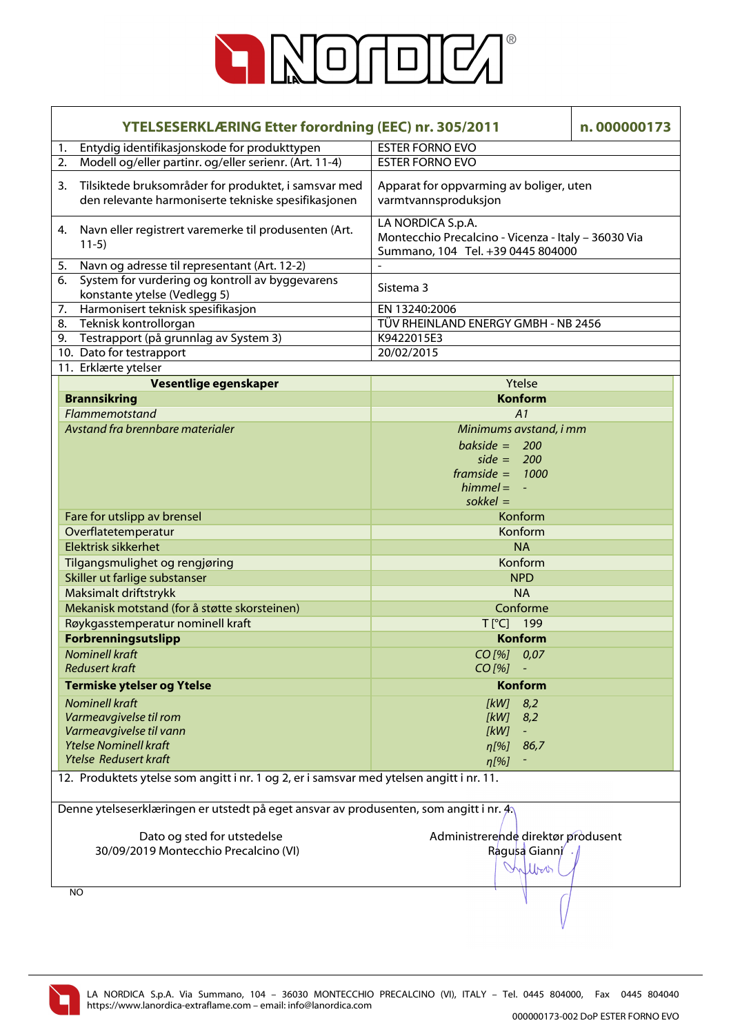

| <b>YTELSESERKLÆRING Etter forordning (EEC) nr. 305/2011</b>                                                       |                                                                                                               | n.000000173 |
|-------------------------------------------------------------------------------------------------------------------|---------------------------------------------------------------------------------------------------------------|-------------|
| Entydig identifikasjonskode for produkttypen<br>1.                                                                | <b>ESTER FORNO EVO</b>                                                                                        |             |
| Modell og/eller partinr. og/eller serienr. (Art. 11-4)<br>2.                                                      | <b>ESTER FORNO EVO</b>                                                                                        |             |
| Tilsiktede bruksområder for produktet, i samsvar med<br>3.<br>den relevante harmoniserte tekniske spesifikasjonen | Apparat for oppvarming av boliger, uten<br>varmtvannsproduksjon                                               |             |
| Navn eller registrert varemerke til produsenten (Art.<br>4.<br>$11-5)$                                            | LA NORDICA S.p.A.<br>Montecchio Precalcino - Vicenza - Italy - 36030 Via<br>Summano, 104 Tel. +39 0445 804000 |             |
| Navn og adresse til representant (Art. 12-2)<br>5.                                                                | $\overline{a}$                                                                                                |             |
| System for vurdering og kontroll av byggevarens<br>6.<br>konstante ytelse (Vedlegg 5)                             | Sistema 3                                                                                                     |             |
| Harmonisert teknisk spesifikasjon<br>7.                                                                           | EN 13240:2006                                                                                                 |             |
| 8.<br>Teknisk kontrollorgan                                                                                       | TÜV RHEINLAND ENERGY GMBH - NB 2456                                                                           |             |
| Testrapport (på grunnlag av System 3)<br>9.                                                                       | K9422015E3                                                                                                    |             |
| 10. Dato for testrapport                                                                                          | 20/02/2015                                                                                                    |             |
| 11. Erklærte ytelser                                                                                              |                                                                                                               |             |
| Vesentlige egenskaper                                                                                             | Ytelse                                                                                                        |             |
| <b>Brannsikring</b>                                                                                               | <b>Konform</b>                                                                                                |             |
| Flammemotstand                                                                                                    | A1                                                                                                            |             |
|                                                                                                                   |                                                                                                               |             |
| Avstand fra brennbare materialer                                                                                  | Minimums avstand, i mm                                                                                        |             |
|                                                                                                                   | bakside = $200$                                                                                               |             |
|                                                                                                                   | side = $200$                                                                                                  |             |
|                                                                                                                   | framside = $1000$                                                                                             |             |
|                                                                                                                   | $himmel = -$                                                                                                  |             |
|                                                                                                                   | $s$ okkel =                                                                                                   |             |
| Fare for utslipp av brensel                                                                                       | Konform                                                                                                       |             |
| Overflatetemperatur                                                                                               | Konform                                                                                                       |             |
| Elektrisk sikkerhet                                                                                               | <b>NA</b>                                                                                                     |             |
| Tilgangsmulighet og rengjøring                                                                                    | Konform                                                                                                       |             |
| Skiller ut farlige substanser                                                                                     | <b>NPD</b>                                                                                                    |             |
| Maksimalt driftstrykk                                                                                             | <b>NA</b>                                                                                                     |             |
| Mekanisk motstand (for å støtte skorsteinen)                                                                      | Conforme                                                                                                      |             |
| Røykgasstemperatur nominell kraft                                                                                 | T[°C] 199                                                                                                     |             |
| Forbrenningsutslipp                                                                                               | <b>Konform</b>                                                                                                |             |
|                                                                                                                   |                                                                                                               |             |
| <b>Nominell kraft</b>                                                                                             | $CO$ [%] $0.07$                                                                                               |             |
| <b>Redusert kraft</b>                                                                                             | $CO [%] -$                                                                                                    |             |
| <b>Termiske ytelser og Ytelse</b>                                                                                 | <b>Konform</b>                                                                                                |             |
| <b>Nominell kraft</b>                                                                                             | $[kW]$ 8,2                                                                                                    |             |
| Varmeavgivelse til rom                                                                                            | [kW]<br>8,2                                                                                                   |             |
| Varmeavgivelse til vann                                                                                           | [kW]                                                                                                          |             |
| <b>Ytelse Nominell kraft</b>                                                                                      | $\eta$ [%]<br>86,7                                                                                            |             |
| <b>Ytelse Redusert kraft</b>                                                                                      | $\eta$ [%]                                                                                                    |             |
| 12. Produktets ytelse som angitt i nr. 1 og 2, er i samsvar med ytelsen angitt i nr. 11.                          |                                                                                                               |             |
| Denne ytelseserklæringen er utstedt på eget ansvar av produsenten, som angitt i nr. 4.                            |                                                                                                               |             |
| Dato og sted for utstedelse                                                                                       | Administrerende direktør produsent                                                                            |             |
| 30/09/2019 Montecchio Precalcino (VI)                                                                             | Ragusa Gianni .                                                                                               |             |
|                                                                                                                   | Milbor                                                                                                        |             |
|                                                                                                                   |                                                                                                               |             |
| <b>NO</b>                                                                                                         |                                                                                                               |             |

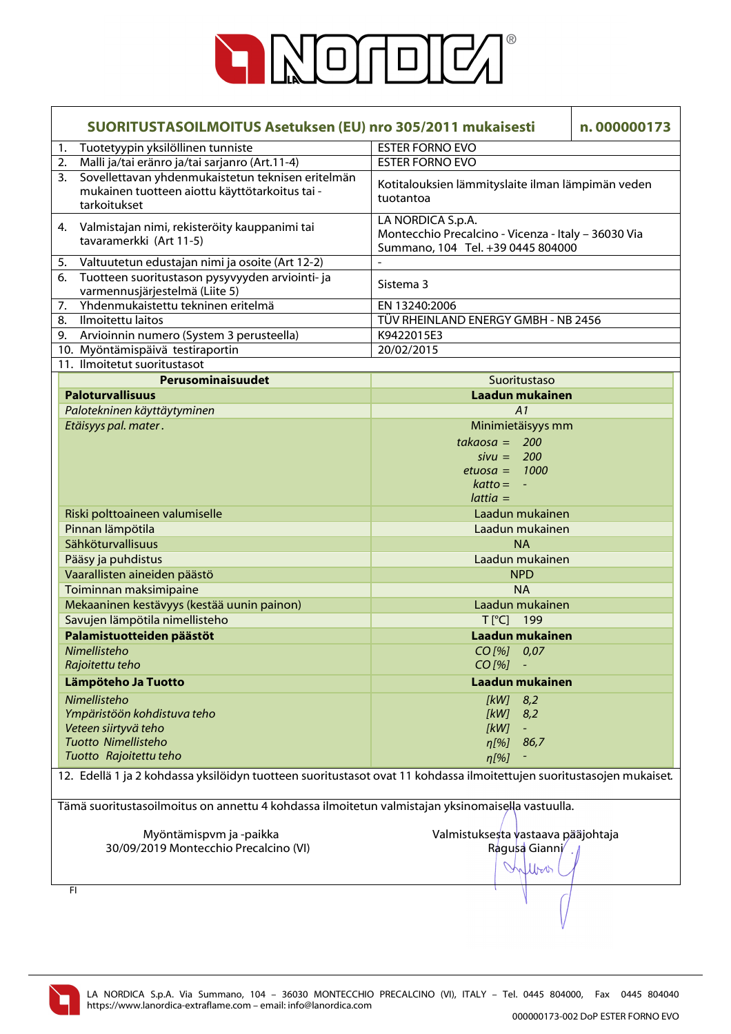

| SUORITUSTASOILMOITUS Asetuksen (EU) nro 305/2011 mukaisesti                                                               |                                                                                                               | n.000000173 |
|---------------------------------------------------------------------------------------------------------------------------|---------------------------------------------------------------------------------------------------------------|-------------|
| Tuotetyypin yksilöllinen tunniste<br>1.                                                                                   | <b>ESTER FORNO EVO</b>                                                                                        |             |
| Malli ja/tai eränro ja/tai sarjanro (Art.11-4)<br>2.                                                                      | <b>ESTER FORNO EVO</b>                                                                                        |             |
| Sovellettavan yhdenmukaistetun teknisen eritelmän<br>3.<br>mukainen tuotteen aiottu käyttötarkoitus tai -<br>tarkoitukset | Kotitalouksien lämmityslaite ilman lämpimän veden<br>tuotantoa                                                |             |
| 4. Valmistajan nimi, rekisteröity kauppanimi tai<br>tavaramerkki (Art 11-5)                                               | LA NORDICA S.p.A.<br>Montecchio Precalcino - Vicenza - Italy - 36030 Via<br>Summano, 104 Tel. +39 0445 804000 |             |
| Valtuutetun edustajan nimi ja osoite (Art 12-2)<br>5.                                                                     |                                                                                                               |             |
| Tuotteen suoritustason pysyvyyden arviointi- ja<br>6.<br>varmennusjärjestelmä (Liite 5)                                   | Sistema 3                                                                                                     |             |
| Yhdenmukaistettu tekninen eritelmä<br>7.                                                                                  | EN 13240:2006                                                                                                 |             |
| Ilmoitettu laitos<br>8.                                                                                                   | TÜV RHEINLAND ENERGY GMBH - NB 2456                                                                           |             |
| Arvioinnin numero (System 3 perusteella)<br>9.                                                                            | K9422015E3                                                                                                    |             |
| 10. Myöntämispäivä testiraportin                                                                                          | 20/02/2015                                                                                                    |             |
| 11. Ilmoitetut suoritustasot                                                                                              |                                                                                                               |             |
| Perusominaisuudet                                                                                                         | Suoritustaso                                                                                                  |             |
| <b>Paloturvallisuus</b>                                                                                                   | Laadun mukainen                                                                                               |             |
| Palotekninen käyttäytyminen                                                                                               | A1                                                                                                            |             |
| Etäisyys pal. mater.                                                                                                      | Minimietäisyys mm                                                                                             |             |
|                                                                                                                           | $takaosa = 200$                                                                                               |             |
|                                                                                                                           | $sivu = 200$                                                                                                  |             |
|                                                                                                                           | $etuosa = 1000$                                                                                               |             |
|                                                                                                                           | $k$ atto = $-$                                                                                                |             |
|                                                                                                                           | $lattice =$                                                                                                   |             |
| Riski polttoaineen valumiselle                                                                                            | Laadun mukainen                                                                                               |             |
| Pinnan lämpötila                                                                                                          | Laadun mukainen                                                                                               |             |
| Sähköturvallisuus                                                                                                         | <b>NA</b>                                                                                                     |             |
| Pääsy ja puhdistus                                                                                                        | Laadun mukainen                                                                                               |             |
| Vaarallisten aineiden päästö                                                                                              | <b>NPD</b>                                                                                                    |             |
| Toiminnan maksimipaine                                                                                                    | <b>NA</b>                                                                                                     |             |
| Mekaaninen kestävyys (kestää uunin painon)                                                                                | Laadun mukainen                                                                                               |             |
| Savujen lämpötila nimellisteho                                                                                            | T[°C] 199                                                                                                     |             |
| Palamistuotteiden päästöt                                                                                                 | Laadun mukainen                                                                                               |             |
| Nimellisteho                                                                                                              | CO [%] 0,07                                                                                                   |             |
| Rajoitettu teho                                                                                                           | $CO$ [%]                                                                                                      |             |
|                                                                                                                           | Laadun mukainen                                                                                               |             |
| Lämpöteho Ja Tuotto                                                                                                       |                                                                                                               |             |
| Nimellisteho                                                                                                              | [kW]<br>8,2                                                                                                   |             |
| Ympäristöön kohdistuva teho                                                                                               | [kW]<br>8,2                                                                                                   |             |
| Veteen siirtyvä teho<br><b>Tuotto Nimellisteho</b>                                                                        | [kW]<br>÷,                                                                                                    |             |
|                                                                                                                           | $n[\%]$<br>86,7                                                                                               |             |
| Tuotto Rajoitettu teho                                                                                                    | $\eta$ [%]                                                                                                    |             |
| 12. Edellä 1 ja 2 kohdassa yksilöidyn tuotteen suoritustasot ovat 11 kohdassa ilmoitettujen suoritustasojen mukaiset.     |                                                                                                               |             |
| Tämä suoritustasoilmoitus on annettu 4 kohdassa ilmoitetun valmistajan yksinomaisella vastuulla.                          |                                                                                                               |             |
| Myöntämispvm ja -paikka                                                                                                   | Valmistuksesta vastaava pääjohtaja                                                                            |             |
| 30/09/2019 Montecchio Precalcino (VI)                                                                                     | Ragusa Gianni                                                                                                 |             |
|                                                                                                                           | Wor                                                                                                           |             |
| FI.                                                                                                                       |                                                                                                               |             |
|                                                                                                                           |                                                                                                               |             |

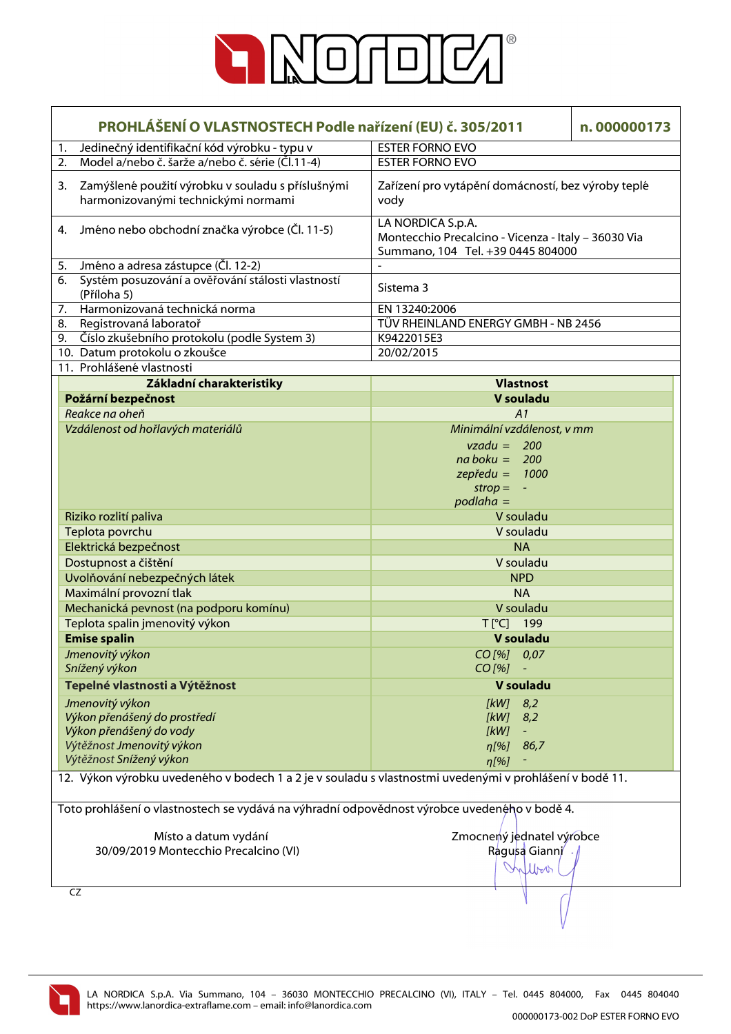

| PROHLÁŠENÍ O VLASTNOSTECH Podle nařízení (EU) č. 305/2011                                               |                                                                                                               | n.000000173 |
|---------------------------------------------------------------------------------------------------------|---------------------------------------------------------------------------------------------------------------|-------------|
| Jedinečný identifikační kód výrobku - typu v<br>1.                                                      | <b>ESTER FORNO EVO</b>                                                                                        |             |
| Model a/nebo č. šarže a/nebo č. série (Čl.11-4)<br>2.                                                   | <b>ESTER FORNO EVO</b>                                                                                        |             |
| Zamýšlené použití výrobku v souladu s příslušnými<br>3.<br>harmonizovanými technickými normami          | Zařízení pro vytápění domácností, bez výroby teplé<br>vody                                                    |             |
| Jméno nebo obchodní značka výrobce (Čl. 11-5)<br>4.                                                     | LA NORDICA S.p.A.<br>Montecchio Precalcino - Vicenza - Italy - 36030 Via<br>Summano, 104 Tel. +39 0445 804000 |             |
| Jméno a adresa zástupce (Čl. 12-2)<br>5.                                                                |                                                                                                               |             |
| Systém posuzování a ověřování stálosti vlastností<br>6.<br>(Příloha 5)                                  | Sistema 3                                                                                                     |             |
| Harmonizovaná technická norma<br>7.                                                                     | EN 13240:2006                                                                                                 |             |
| 8.<br>Registrovaná laboratoř                                                                            | TÜV RHEINLAND ENERGY GMBH - NB 2456                                                                           |             |
| Číslo zkušebního protokolu (podle System 3)<br>9.                                                       | K9422015E3                                                                                                    |             |
| 10. Datum protokolu o zkoušce                                                                           | 20/02/2015                                                                                                    |             |
| 11. Prohlášené vlastnosti                                                                               |                                                                                                               |             |
| Základní charakteristiky                                                                                | <b>Vlastnost</b>                                                                                              |             |
| Požární bezpečnost                                                                                      | V souladu                                                                                                     |             |
| Reakce na oheň                                                                                          | A1                                                                                                            |             |
| Vzdálenost od hořlavých materiálů                                                                       | Minimální vzdálenost, v mm                                                                                    |             |
|                                                                                                         | $vzadu = 200$                                                                                                 |             |
|                                                                                                         | $na boku = 200$                                                                                               |             |
|                                                                                                         | $z$ epředu = 1000                                                                                             |             |
|                                                                                                         | $\mathsf{strop} = -$                                                                                          |             |
|                                                                                                         | $podlaha =$                                                                                                   |             |
| Riziko rozlití paliva                                                                                   | V souladu                                                                                                     |             |
| Teplota povrchu                                                                                         | V souladu                                                                                                     |             |
| Elektrická bezpečnost                                                                                   | <b>NA</b>                                                                                                     |             |
| Dostupnost a čištění                                                                                    | V souladu                                                                                                     |             |
| Uvolňování nebezpečných látek                                                                           | <b>NPD</b>                                                                                                    |             |
| Maximální provozní tlak                                                                                 | <b>NA</b>                                                                                                     |             |
| Mechanická pevnost (na podporu komínu)                                                                  | V souladu                                                                                                     |             |
| Teplota spalin jmenovitý výkon                                                                          | T[°C] 199                                                                                                     |             |
| <b>Emise spalin</b>                                                                                     |                                                                                                               |             |
|                                                                                                         | V souladu                                                                                                     |             |
| Jmenovitý výkon                                                                                         | CO[%] 0,07                                                                                                    |             |
| Snížený výkon                                                                                           | $CO$ [%]                                                                                                      |             |
| Tepelné vlastnosti a Výtěžnost                                                                          | V souladu                                                                                                     |             |
| Jmenovitý výkon                                                                                         | [kW]<br>8,2                                                                                                   |             |
| Výkon přenášený do prostředí                                                                            | [kW]<br>8,2                                                                                                   |             |
| Výkon přenášený do vody                                                                                 | [kW]                                                                                                          |             |
| Výtěžnost Jmenovitý výkon                                                                               | $\eta$ [%]<br>86,7                                                                                            |             |
| Výtěžnost Snížený výkon                                                                                 | n[%]                                                                                                          |             |
| 12. Výkon výrobku uvedeného v bodech 1 a 2 je v souladu s vlastnostmi uvedenými v prohlášení v bodě 11. |                                                                                                               |             |
| Toto prohlášení o vlastnostech se vydává na výhradní odpovědnost výrobce uvedeného v bodě 4.            |                                                                                                               |             |
| Zmocnený jednatel výrobce<br>Místo a datum vydání                                                       |                                                                                                               |             |
| 30/09/2019 Montecchio Precalcino (VI)                                                                   | Ragusa Gianni .                                                                                               |             |
|                                                                                                         | Milbor                                                                                                        |             |
|                                                                                                         |                                                                                                               |             |
| CZ                                                                                                      |                                                                                                               |             |

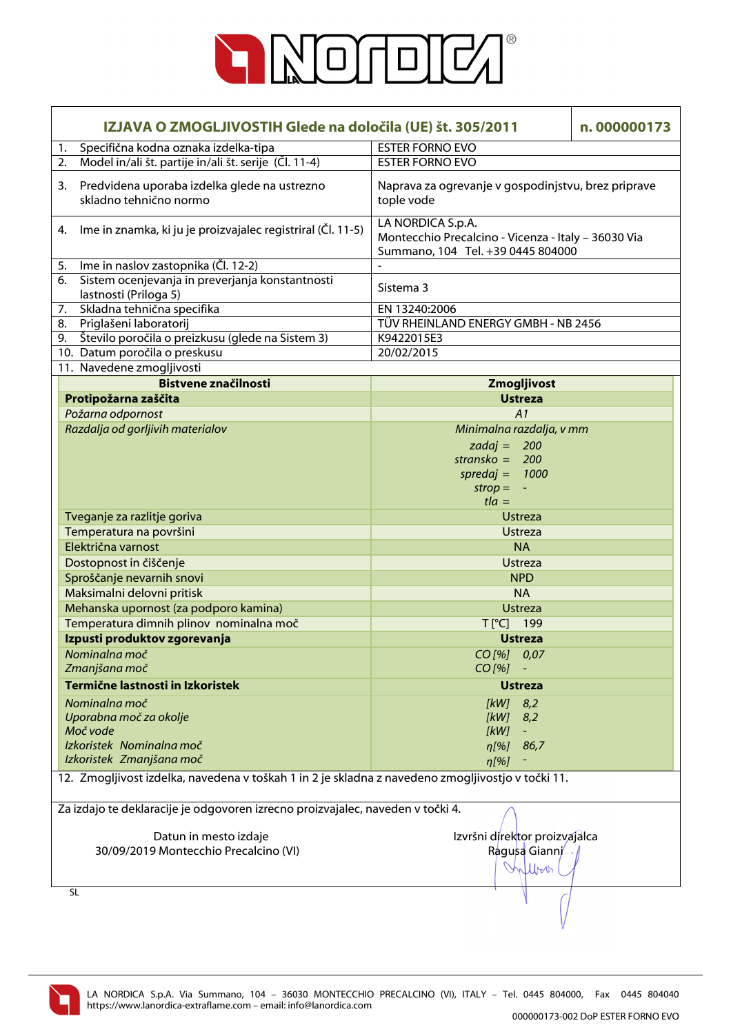

| IZJAVA O ZMOGLJIVOSTIH Glede na določila (UE) št. 305/2011                                        |                                                                                                               | n.000000173 |
|---------------------------------------------------------------------------------------------------|---------------------------------------------------------------------------------------------------------------|-------------|
| Specifična kodna oznaka izdelka-tipa<br>1.                                                        | <b>ESTER FORNO EVO</b>                                                                                        |             |
| Model in/ali št. partije in/ali št. serije (Čl. 11-4)<br>2.                                       | <b>ESTER FORNO EVO</b>                                                                                        |             |
| Predvidena uporaba izdelka glede na ustrezno<br>3.<br>skladno tehnično normo                      | Naprava za ogrevanje v gospodinjstvu, brez priprave<br>tople vode                                             |             |
| Ime in znamka, ki ju je proizvajalec registriral (Čl. 11-5)<br>4.                                 | LA NORDICA S.p.A.<br>Montecchio Precalcino - Vicenza - Italy - 36030 Via<br>Summano, 104 Tel. +39 0445 804000 |             |
| Ime in naslov zastopnika (Čl. 12-2)<br>5.                                                         |                                                                                                               |             |
| Sistem ocenjevanja in preverjanja konstantnosti<br>6.<br>lastnosti (Priloga 5)                    | Sistema 3                                                                                                     |             |
| Skladna tehnična specifika<br>7.                                                                  | EN 13240:2006                                                                                                 |             |
| Priglašeni laboratorij<br>8.                                                                      | TÜV RHEINLAND ENERGY GMBH - NB 2456                                                                           |             |
| Število poročila o preizkusu (glede na Sistem 3)<br>9.                                            | K9422015E3                                                                                                    |             |
| 10. Datum poročila o preskusu                                                                     | 20/02/2015                                                                                                    |             |
| 11. Navedene zmogljivosti                                                                         |                                                                                                               |             |
| <b>Bistvene značilnosti</b>                                                                       | Zmogljivost                                                                                                   |             |
| Protipožarna zaščita                                                                              | <b>Ustreza</b>                                                                                                |             |
| Požarna odpornost                                                                                 | A1                                                                                                            |             |
| Razdalja od gorljivih materialov                                                                  | Minimalna razdalja, v mm                                                                                      |             |
|                                                                                                   | zadaj = $200$                                                                                                 |             |
|                                                                                                   | stransko = $200$                                                                                              |             |
|                                                                                                   | spredaj = $1000$                                                                                              |             |
|                                                                                                   | $strop = -$                                                                                                   |             |
|                                                                                                   | $t/a =$                                                                                                       |             |
| Tveganje za razlitje goriva                                                                       | <b>Ustreza</b>                                                                                                |             |
| Temperatura na površini                                                                           | Ustreza                                                                                                       |             |
| Električna varnost                                                                                | <b>NA</b>                                                                                                     |             |
| Dostopnost in čiščenje                                                                            | Ustreza                                                                                                       |             |
| Sproščanje nevarnih snovi                                                                         | <b>NPD</b>                                                                                                    |             |
| Maksimalni delovni pritisk                                                                        | <b>NA</b>                                                                                                     |             |
| Mehanska upornost (za podporo kamina)                                                             | <b>Ustreza</b>                                                                                                |             |
| Temperatura dimnih plinov nominalna moč                                                           | T [°C] 199                                                                                                    |             |
| Izpusti produktov zgorevanja                                                                      | <b>Ustreza</b>                                                                                                |             |
| Nominalna moč<br>Zmanjšana moč                                                                    | CO[%] 0,07<br>$CO$ [%]                                                                                        |             |
| Termične lastnosti in Izkoristek                                                                  | <b>Ustreza</b>                                                                                                |             |
| Nominalna moč                                                                                     | [kW]<br>8,2                                                                                                   |             |
| Uporabna moč za okolje                                                                            | [kW]<br>8,2                                                                                                   |             |
| Moč vode                                                                                          | [kW]                                                                                                          |             |
| Izkoristek Nominalna moč                                                                          | $\eta$ [%]<br>86,7                                                                                            |             |
| Izkoristek Zmanjšana moč                                                                          | $\eta$ [%]                                                                                                    |             |
| 12. Zmogljivost izdelka, navedena v toškah 1 in 2 je skladna z navedeno zmogljivostjo v točki 11. |                                                                                                               |             |
| Za izdajo te deklaracije je odgovoren izrecno proizvajalec, naveden v točki 4.                    |                                                                                                               |             |
|                                                                                                   |                                                                                                               |             |
| Datun in mesto izdaje                                                                             | Izvršni direktor proizvajalca                                                                                 |             |
| 30/09/2019 Montecchio Precalcino (VI)                                                             | Ragusa Gianni                                                                                                 |             |
|                                                                                                   | Which                                                                                                         |             |
| SL.                                                                                               |                                                                                                               |             |
|                                                                                                   |                                                                                                               |             |

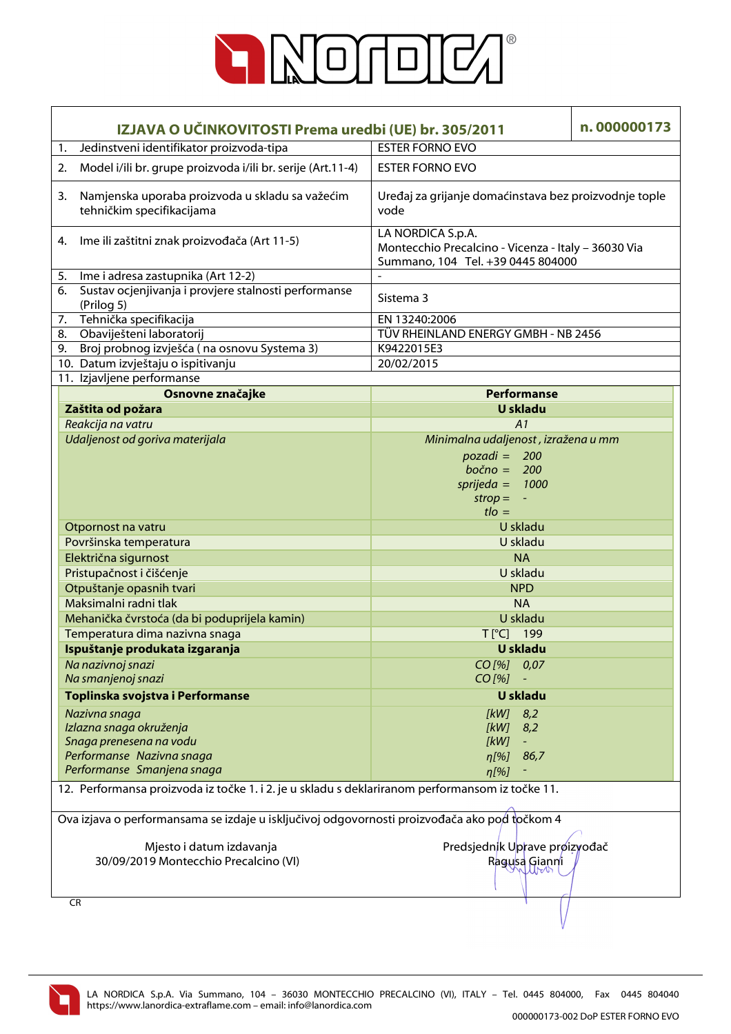

| IZJAVA O UČINKOVITOSTI Prema uredbi (UE) br. 305/2011                                           | n.000000173                                                                                                   |  |  |  |
|-------------------------------------------------------------------------------------------------|---------------------------------------------------------------------------------------------------------------|--|--|--|
| Jedinstveni identifikator proizvoda-tipa<br>1.                                                  | <b>ESTER FORNO EVO</b>                                                                                        |  |  |  |
| Model i/ili br. grupe proizvoda i/ili br. serije (Art.11-4)<br>2.                               | <b>ESTER FORNO EVO</b>                                                                                        |  |  |  |
| Namjenska uporaba proizvoda u skladu sa važećim<br>3.<br>tehničkim specifikacijama              | Uređaj za grijanje domaćinstava bez proizvodnje tople<br>vode                                                 |  |  |  |
| Ime ili zaštitni znak proizvođača (Art 11-5)<br>4.                                              | LA NORDICA S.p.A.<br>Montecchio Precalcino - Vicenza - Italy - 36030 Via<br>Summano, 104 Tel. +39 0445 804000 |  |  |  |
| Ime i adresa zastupnika (Art 12-2)<br>5.                                                        | $\overline{\phantom{0}}$                                                                                      |  |  |  |
| Sustav ocjenjivanja i provjere stalnosti performanse<br>6.<br>(Prilog 5)                        | Sistema 3                                                                                                     |  |  |  |
| Tehnička specifikacija<br>7.                                                                    | EN 13240:2006                                                                                                 |  |  |  |
| 8. Obaviješteni laboratorij                                                                     | TÜV RHEINLAND ENERGY GMBH - NB 2456                                                                           |  |  |  |
| Broj probnog izvješća (na osnovu Systema 3)<br>9.                                               | K9422015E3                                                                                                    |  |  |  |
| 10. Datum izvještaju o ispitivanju                                                              | 20/02/2015                                                                                                    |  |  |  |
| 11. Izjavljene performanse                                                                      |                                                                                                               |  |  |  |
| Osnovne značajke                                                                                | Performanse                                                                                                   |  |  |  |
| Zaštita od požara                                                                               | <b>U</b> skladu                                                                                               |  |  |  |
| Reakcija na vatru                                                                               | A1                                                                                                            |  |  |  |
| Udaljenost od goriva materijala                                                                 | Minimalna udaljenost, izražena u mm                                                                           |  |  |  |
|                                                                                                 | $pozadi = 200$                                                                                                |  |  |  |
|                                                                                                 | $bočno = 200$                                                                                                 |  |  |  |
|                                                                                                 | sprijeda = $1000$                                                                                             |  |  |  |
|                                                                                                 | $strop = -$<br>$t \cdot l$                                                                                    |  |  |  |
| Otpornost na vatru                                                                              | U skladu                                                                                                      |  |  |  |
| Površinska temperatura                                                                          | U skladu                                                                                                      |  |  |  |
| Električna sigurnost                                                                            | <b>NA</b>                                                                                                     |  |  |  |
| Pristupačnost i čišćenje                                                                        | U skladu                                                                                                      |  |  |  |
| Otpuštanje opasnih tvari                                                                        | <b>NPD</b>                                                                                                    |  |  |  |
| Maksimalni radni tlak                                                                           | <b>NA</b>                                                                                                     |  |  |  |
| Mehanička čvrstoća (da bi poduprijela kamin)                                                    | U skladu                                                                                                      |  |  |  |
| Temperatura dima nazivna snaga                                                                  | T[°C] 199                                                                                                     |  |  |  |
| Ispuštanje produkata izgaranja                                                                  | <b>U</b> skladu                                                                                               |  |  |  |
| Na nazivnoj snazi                                                                               | CO [%]<br>0,07                                                                                                |  |  |  |
| Na smanjenoj snazi                                                                              | $CO$ [%]                                                                                                      |  |  |  |
| Toplinska svojstva i Performanse                                                                | <b>U</b> skladu                                                                                               |  |  |  |
| Nazivna snaga                                                                                   | 8,2<br>[kW]                                                                                                   |  |  |  |
| Izlazna snaga okruženja                                                                         | [kW]<br>8,2                                                                                                   |  |  |  |
| Snaga prenesena na vodu                                                                         | [kW]<br>÷,                                                                                                    |  |  |  |
| Performanse Nazivna snaga                                                                       | 86,7<br>$\eta$ [%]                                                                                            |  |  |  |
| Performanse Smanjena snaga                                                                      | $\eta$ [%]                                                                                                    |  |  |  |
| 12. Performansa proizvoda iz točke 1. i 2. je u skladu s deklariranom performansom iz točke 11. |                                                                                                               |  |  |  |
| Ova izjava o performansama se izdaje u isključivoj odgovornosti proizvođača ako pod točkom 4    |                                                                                                               |  |  |  |
|                                                                                                 |                                                                                                               |  |  |  |
| Mjesto i datum izdavanja                                                                        | Predsjednik Uprave proizvođač                                                                                 |  |  |  |
| 30/09/2019 Montecchio Precalcino (VI)                                                           | Ragusa Gianni                                                                                                 |  |  |  |
|                                                                                                 |                                                                                                               |  |  |  |
| <b>CR</b>                                                                                       |                                                                                                               |  |  |  |

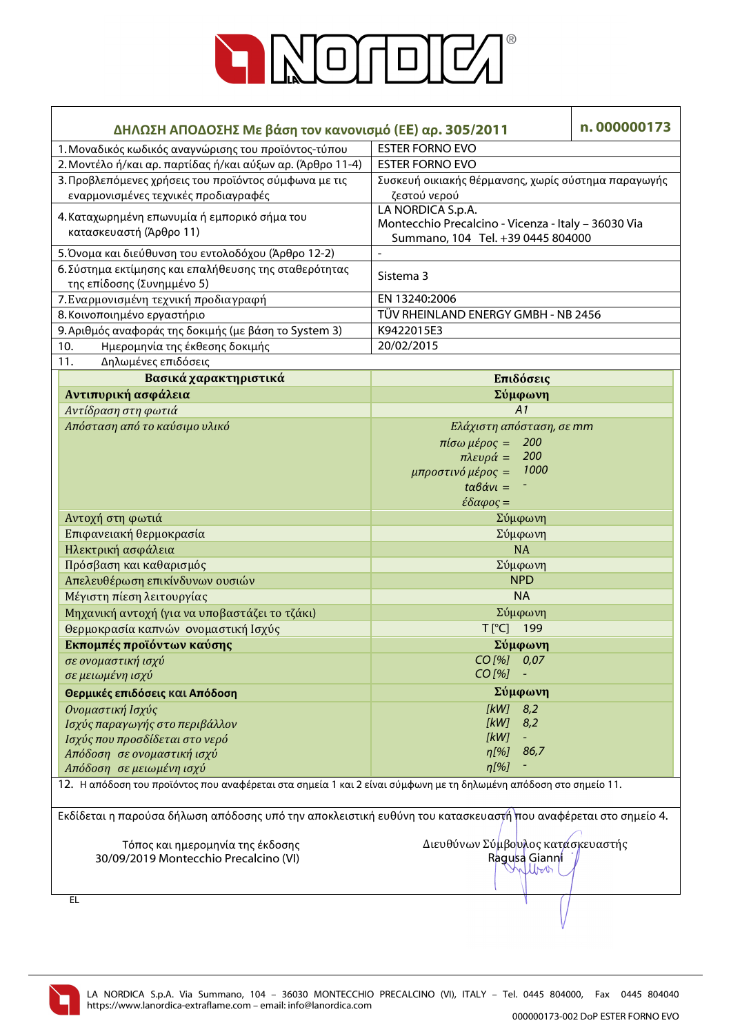

| ΔΗΛΩΣΗ ΑΠΟΔΟΣΗΣ Με βάση τον κανονισμό (ΕΕ) αρ. 305/2011                                                                                                                                                                                          | n.000000173                                         |  |  |
|--------------------------------------------------------------------------------------------------------------------------------------------------------------------------------------------------------------------------------------------------|-----------------------------------------------------|--|--|
| 1. Μοναδικός κωδικός αναγνώρισης του προϊόντος-τύπου                                                                                                                                                                                             | <b>ESTER FORNO EVO</b>                              |  |  |
| 2. Μοντέλο ή/και αρ. παρτίδας ή/και αύξων αρ. (Άρθρο 11-4)                                                                                                                                                                                       | <b>ESTER FORNO EVO</b>                              |  |  |
| 3. Προβλεπόμενες χρήσεις του προϊόντος σύμφωνα με τις                                                                                                                                                                                            | Συσκευή οικιακής θέρμανσης, χωρίς σύστημα παραγωγής |  |  |
| εναρμονισμένες τεχνικές προδιαγραφές                                                                                                                                                                                                             | ζεστού νερού                                        |  |  |
| 4. Καταχωρημένη επωνυμία ή εμπορικό σήμα του                                                                                                                                                                                                     | LA NORDICA S.p.A.                                   |  |  |
| κατασκευαστή (Άρθρο 11)                                                                                                                                                                                                                          | Montecchio Precalcino - Vicenza - Italy - 36030 Via |  |  |
|                                                                                                                                                                                                                                                  | Summano, 104 Tel. +39 0445 804000                   |  |  |
| 5. Όνομα και διεύθυνση του εντολοδόχου (Άρθρο 12-2)                                                                                                                                                                                              | $\overline{\phantom{a}}$                            |  |  |
| 6. Σύστημα εκτίμησης και επαλήθευσης της σταθερότητας                                                                                                                                                                                            | Sistema 3                                           |  |  |
| της επίδοσης (Συνημμένο 5)<br>7. Εναρμονισμένη τεχνική προδιαγραφή                                                                                                                                                                               | EN 13240:2006                                       |  |  |
| 8. Κοινοποιημένο εργαστήριο                                                                                                                                                                                                                      | TÜV RHEINLAND ENERGY GMBH - NB 2456                 |  |  |
| 9. Αριθμός αναφοράς της δοκιμής (με βάση το System 3)                                                                                                                                                                                            | K9422015E3                                          |  |  |
| 10.<br>Ημερομηνία της έκθεσης δοκιμής                                                                                                                                                                                                            | 20/02/2015                                          |  |  |
| Δηλωμένες επιδόσεις<br>11.                                                                                                                                                                                                                       |                                                     |  |  |
| Βασικά χαρακτηριστικά                                                                                                                                                                                                                            | Επιδόσεις                                           |  |  |
| Αντιπυρική ασφάλεια                                                                                                                                                                                                                              | Σύμφωνη                                             |  |  |
| Αντίδραση στη φωτιά                                                                                                                                                                                                                              | A1                                                  |  |  |
| Απόσταση από το καύσιμο υλικό                                                                                                                                                                                                                    | Ελάχιστη απόσταση, σε mm                            |  |  |
|                                                                                                                                                                                                                                                  | $πiσω μέρος = 200$                                  |  |  |
|                                                                                                                                                                                                                                                  | 200<br>$πλευρά =$                                   |  |  |
|                                                                                                                                                                                                                                                  | 1000<br>μπροστινό μέρος =                           |  |  |
|                                                                                                                                                                                                                                                  | $t\alpha\beta\dot{\alpha}v\iota=$                   |  |  |
|                                                                                                                                                                                                                                                  | $\epsilon \delta \alpha \varphi$ ος =               |  |  |
| Αντοχή στη φωτιά                                                                                                                                                                                                                                 | Σύμφωνη                                             |  |  |
| Επιφανειακή θερμοκρασία                                                                                                                                                                                                                          | Σύμφωνη                                             |  |  |
| Ηλεκτρική ασφάλεια                                                                                                                                                                                                                               | <b>NA</b>                                           |  |  |
| Πρόσβαση και καθαρισμός                                                                                                                                                                                                                          | Σύμφωνη                                             |  |  |
| Απελευθέρωση επικίνδυνων ουσιών                                                                                                                                                                                                                  | <b>NPD</b>                                          |  |  |
| Μέγιστη πίεση λειτουργίας                                                                                                                                                                                                                        | <b>NA</b>                                           |  |  |
| Μηχανική αντοχή (για να υποβαστάζει το τζάκι)                                                                                                                                                                                                    | Σύμφωνη                                             |  |  |
| Θερμοκρασία καπνών ονομαστική Ισχύς                                                                                                                                                                                                              | T[°C] 199                                           |  |  |
| Εκπομπές προϊόντων καύσης                                                                                                                                                                                                                        | Σύμφωνη                                             |  |  |
| σε ονομαστική ισχύ                                                                                                                                                                                                                               | CO[%] 0,07                                          |  |  |
| σε μειωμένη ισχύ                                                                                                                                                                                                                                 | $CO$ [%]                                            |  |  |
| Θερμικές επιδόσεις και Απόδοση                                                                                                                                                                                                                   | Σύμφωνη                                             |  |  |
| Ονομαστική Ισχύς                                                                                                                                                                                                                                 | 8,2<br>[kW]                                         |  |  |
| Ισχύς παραγωγής στο περιβάλλον                                                                                                                                                                                                                   | [kW]<br>8,2                                         |  |  |
| Ισχύς που προσδίδεται στο νερό                                                                                                                                                                                                                   | [kW]                                                |  |  |
| Απόδοση σε ονομαστική ισχύ                                                                                                                                                                                                                       | 86,7<br>$n[\%]$                                     |  |  |
| Απόδοση σε μειωμένη ισχύ                                                                                                                                                                                                                         | $\eta$ [%]                                          |  |  |
| 12. Η απόδοση του προϊόντος που αναφέρεται στα σημεία 1 και 2 είναι σύμφωνη με τη δηλωμένη απόδοση στο σημείο 11.                                                                                                                                |                                                     |  |  |
| Εκδίδεται η παρούσα δήλωση απόδοσης υπό την αποκλειστική ευθύνη του κατασκευαστή που αναφέρεται στο σημείο 4.<br>Διευθύνων Σύμβουλος κατάσκευαστής<br>Τόπος και ημερομηνία της έκδοσης<br>Ragusa Gianni<br>30/09/2019 Montecchio Precalcino (VI) |                                                     |  |  |
|                                                                                                                                                                                                                                                  |                                                     |  |  |
| EL.                                                                                                                                                                                                                                              |                                                     |  |  |
|                                                                                                                                                                                                                                                  |                                                     |  |  |

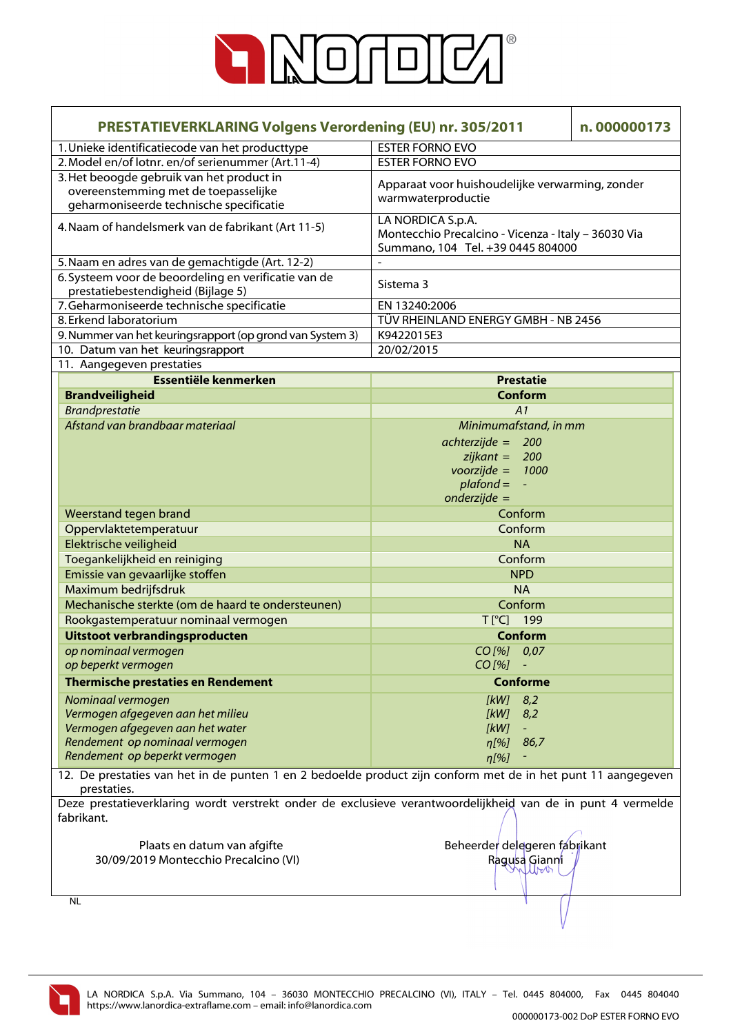

| <b>PRESTATIEVERKLARING Volgens Verordening (EU) nr. 305/2011</b>                                                            | n.000000173                                                                                                   |  |
|-----------------------------------------------------------------------------------------------------------------------------|---------------------------------------------------------------------------------------------------------------|--|
| 1. Unieke identificatiecode van het producttype                                                                             | <b>ESTER FORNO EVO</b>                                                                                        |  |
| 2. Model en/of lotnr. en/of serienummer (Art.11-4)                                                                          | <b>ESTER FORNO EVO</b>                                                                                        |  |
| 3. Het beoogde gebruik van het product in                                                                                   |                                                                                                               |  |
| overeenstemming met de toepasselijke                                                                                        | Apparaat voor huishoudelijke verwarming, zonder<br>warmwaterproductie                                         |  |
| geharmoniseerde technische specificatie                                                                                     |                                                                                                               |  |
| 4. Naam of handelsmerk van de fabrikant (Art 11-5)                                                                          | LA NORDICA S.p.A.<br>Montecchio Precalcino - Vicenza - Italy - 36030 Via<br>Summano, 104 Tel. +39 0445 804000 |  |
| 5. Naam en adres van de gemachtigde (Art. 12-2)                                                                             |                                                                                                               |  |
| 6. Systeem voor de beoordeling en verificatie van de                                                                        | Sistema 3                                                                                                     |  |
| prestatiebestendigheid (Bijlage 5)                                                                                          |                                                                                                               |  |
| 7. Geharmoniseerde technische specificatie                                                                                  | EN 13240:2006                                                                                                 |  |
| 8. Erkend laboratorium                                                                                                      | TÜV RHEINLAND ENERGY GMBH - NB 2456                                                                           |  |
| 9. Nummer van het keuringsrapport (op grond van System 3)                                                                   | K9422015E3                                                                                                    |  |
| 10. Datum van het keuringsrapport                                                                                           | 20/02/2015                                                                                                    |  |
| 11. Aangegeven prestaties                                                                                                   |                                                                                                               |  |
| Essentiële kenmerken                                                                                                        | <b>Prestatie</b>                                                                                              |  |
| <b>Brandveiligheid</b>                                                                                                      | Conform                                                                                                       |  |
| <b>Brandprestatie</b>                                                                                                       | A1                                                                                                            |  |
| Afstand van brandbaar materiaal                                                                                             | Minimumafstand, in mm                                                                                         |  |
|                                                                                                                             | $achterzijde = 200$                                                                                           |  |
|                                                                                                                             | $zijkant = 200$                                                                                               |  |
|                                                                                                                             | voorzijde = $1000$                                                                                            |  |
|                                                                                                                             | $plafond =$<br>$\blacksquare$                                                                                 |  |
|                                                                                                                             | $onderzijde =$                                                                                                |  |
| Weerstand tegen brand                                                                                                       | Conform                                                                                                       |  |
| Oppervlaktetemperatuur                                                                                                      | Conform                                                                                                       |  |
| Elektrische veiligheid                                                                                                      | <b>NA</b>                                                                                                     |  |
| Toegankelijkheid en reiniging                                                                                               | Conform                                                                                                       |  |
| Emissie van gevaarlijke stoffen                                                                                             | <b>NPD</b>                                                                                                    |  |
| Maximum bedrijfsdruk                                                                                                        | <b>NA</b>                                                                                                     |  |
| Mechanische sterkte (om de haard te ondersteunen)                                                                           | Conform                                                                                                       |  |
| Rookgastemperatuur nominaal vermogen                                                                                        | T[°C] 199                                                                                                     |  |
| Uitstoot verbrandingsproducten                                                                                              | Conform                                                                                                       |  |
| op nominaal vermogen                                                                                                        | CO [%] 0,07                                                                                                   |  |
| op beperkt vermogen                                                                                                         | CO [%]                                                                                                        |  |
| <b>Thermische prestaties en Rendement</b>                                                                                   | <b>Conforme</b>                                                                                               |  |
| Nominaal vermogen                                                                                                           | 8,2<br>[kW]                                                                                                   |  |
| Vermogen afgegeven aan het milieu                                                                                           | [kW]<br>8,2                                                                                                   |  |
| Vermogen afgegeven aan het water                                                                                            | [kW]                                                                                                          |  |
| Rendement op nominaal vermogen                                                                                              | $n[\%]$<br>86,7                                                                                               |  |
| Rendement op beperkt vermogen                                                                                               | $\eta$ [%]                                                                                                    |  |
| 12. De prestaties van het in de punten 1 en 2 bedoelde product zijn conform met de in het punt 11 aangegeven<br>prestaties. |                                                                                                               |  |
| Deze prestatieverklaring wordt verstrekt onder de exclusieve verantwoordelijkheid van de in punt 4 vermelde                 |                                                                                                               |  |
| fabrikant.                                                                                                                  |                                                                                                               |  |
|                                                                                                                             |                                                                                                               |  |
| Plaats en datum van afgifte                                                                                                 | Beheerder delegeren fabrikant                                                                                 |  |
| 30/09/2019 Montecchio Precalcino (VI)                                                                                       | Ragusa Gianni                                                                                                 |  |
|                                                                                                                             |                                                                                                               |  |
| <b>NL</b>                                                                                                                   |                                                                                                               |  |
|                                                                                                                             |                                                                                                               |  |

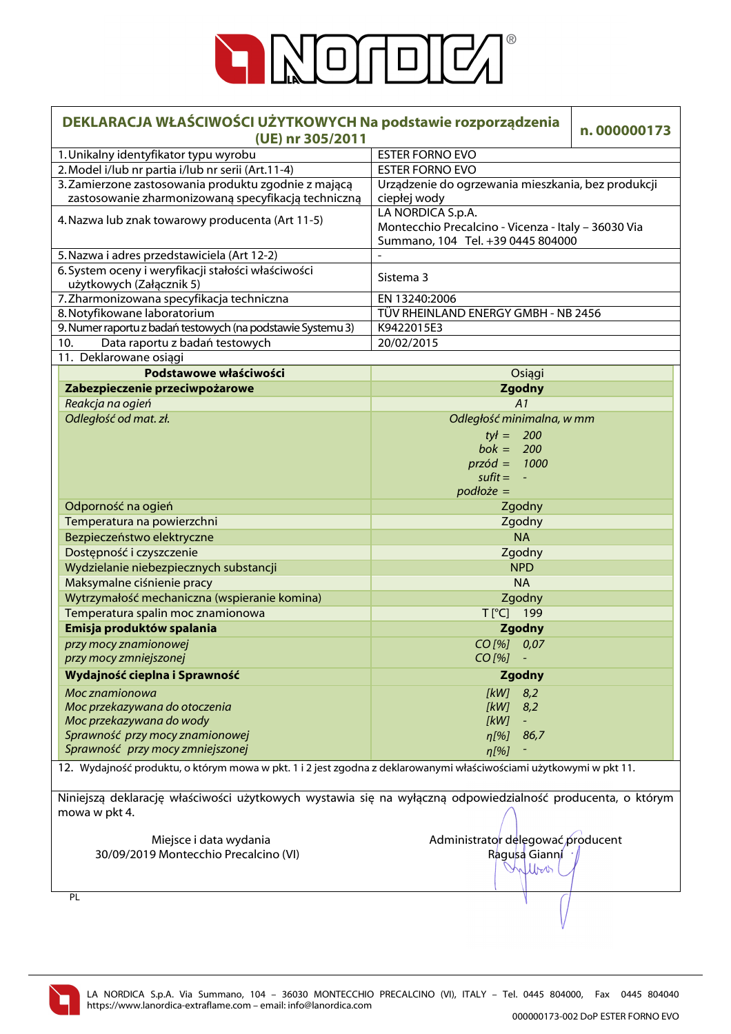

| DEKLARACJA WŁAŚCIWOŚCI UŻYTKOWYCH Na podstawie rozporządzenia<br>(UE) nr 305/2011                                           |                                                                                                               | n.000000173 |  |
|-----------------------------------------------------------------------------------------------------------------------------|---------------------------------------------------------------------------------------------------------------|-------------|--|
| 1. Unikalny identyfikator typu wyrobu                                                                                       | <b>ESTER FORNO EVO</b>                                                                                        |             |  |
| 2. Model i/lub nr partia i/lub nr serii (Art.11-4)                                                                          | <b>ESTER FORNO EVO</b>                                                                                        |             |  |
| 3. Zamierzone zastosowania produktu zgodnie z mającą<br>zastosowanie zharmonizowaną specyfikacją techniczną                 | Urządzenie do ogrzewania mieszkania, bez produkcji<br>ciepłej wody                                            |             |  |
| 4. Nazwa lub znak towarowy producenta (Art 11-5)                                                                            | LA NORDICA S.p.A.<br>Montecchio Precalcino - Vicenza - Italy - 36030 Via<br>Summano, 104 Tel. +39 0445 804000 |             |  |
| 5. Nazwa i adres przedstawiciela (Art 12-2)                                                                                 |                                                                                                               |             |  |
| 6. System oceny i weryfikacji stałości właściwości<br>użytkowych (Załącznik 5)                                              | Sistema 3                                                                                                     |             |  |
| 7. Zharmonizowana specyfikacja techniczna                                                                                   | EN 13240:2006                                                                                                 |             |  |
| 8. Notyfikowane laboratorium                                                                                                | TÜV RHEINLAND ENERGY GMBH - NB 2456                                                                           |             |  |
| 9. Numer raportu z badań testowych (na podstawie Systemu 3)                                                                 | K9422015E3                                                                                                    |             |  |
| Data raportu z badań testowych<br>10.                                                                                       | 20/02/2015                                                                                                    |             |  |
| 11. Deklarowane osiągi                                                                                                      |                                                                                                               |             |  |
| Podstawowe właściwości                                                                                                      | Osiągi                                                                                                        |             |  |
| Zabezpieczenie przeciwpożarowe                                                                                              | <b>Zgodny</b>                                                                                                 |             |  |
| Reakcja na ogień                                                                                                            | A1                                                                                                            |             |  |
| Odległość od mat. zł.                                                                                                       | Odległość minimalna, w mm                                                                                     |             |  |
|                                                                                                                             | $tył = 200$                                                                                                   |             |  |
|                                                                                                                             | $bok = 200$                                                                                                   |             |  |
|                                                                                                                             | $przód = 1000$                                                                                                |             |  |
|                                                                                                                             | $s$ ufit =<br>$\sim$                                                                                          |             |  |
|                                                                                                                             | $podłoże =$                                                                                                   |             |  |
| Odporność na ogień                                                                                                          | Zgodny                                                                                                        |             |  |
| Temperatura na powierzchni                                                                                                  | Zgodny                                                                                                        |             |  |
| Bezpieczeństwo elektryczne                                                                                                  | <b>NA</b>                                                                                                     |             |  |
| Dostępność i czyszczenie                                                                                                    | Zgodny                                                                                                        |             |  |
| Wydzielanie niebezpiecznych substancji                                                                                      | <b>NPD</b>                                                                                                    |             |  |
| Maksymalne ciśnienie pracy                                                                                                  | <b>NA</b>                                                                                                     |             |  |
| Wytrzymałość mechaniczna (wspieranie komina)                                                                                | Zgodny                                                                                                        |             |  |
| Temperatura spalin moc znamionowa                                                                                           | T[°C] 199                                                                                                     |             |  |
| Emisja produktów spalania                                                                                                   | <b>Zgodny</b>                                                                                                 |             |  |
| przy mocy znamionowej                                                                                                       | CO [%] 0,07                                                                                                   |             |  |
| przy mocy zmniejszonej                                                                                                      | CO [%]                                                                                                        |             |  |
| Wydajność cieplna i Sprawność                                                                                               | <b>Zgodny</b>                                                                                                 |             |  |
| Moc znamionowa                                                                                                              | [kW]<br>8,2                                                                                                   |             |  |
| Moc przekazywana do otoczenia                                                                                               | [kW]<br>8,2                                                                                                   |             |  |
| Moc przekazywana do wody                                                                                                    | [kW]                                                                                                          |             |  |
| Sprawność przy mocy znamionowej                                                                                             | 86,7<br>$\eta$ [%]                                                                                            |             |  |
| Sprawność przy mocy zmniejszonej                                                                                            | $\eta$ [%]                                                                                                    |             |  |
| 12. Wydajność produktu, o którym mowa w pkt. 1 i 2 jest zgodna z deklarowanymi właściwościami użytkowymi w pkt 11.          |                                                                                                               |             |  |
| Niniejszą deklarację właściwości użytkowych wystawia się na wyłączną odpowiedzialność producenta, o którym<br>mowa w pkt 4. |                                                                                                               |             |  |
|                                                                                                                             |                                                                                                               |             |  |
| Miejsce i data wydania                                                                                                      | Administrator delegować producent                                                                             |             |  |
| 30/09/2019 Montecchio Precalcino (VI)                                                                                       | Ragusa Gianni                                                                                                 |             |  |
|                                                                                                                             | hilloo                                                                                                        |             |  |
| <b>PL</b>                                                                                                                   |                                                                                                               |             |  |
|                                                                                                                             |                                                                                                               |             |  |